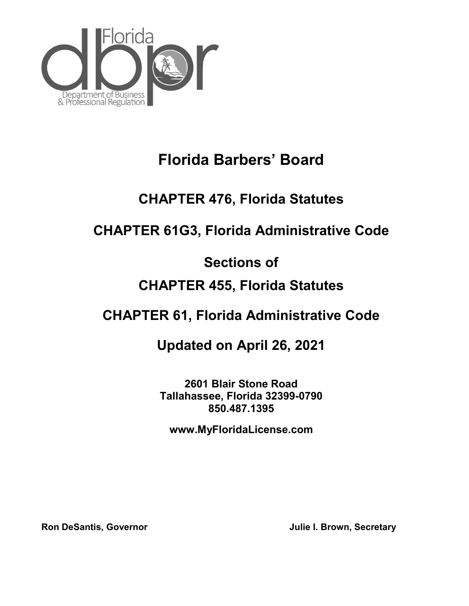

# **Florida Barbers' Board**

# **CHAPTER 476, Florida Statutes**

# **CHAPTER 61G3, Florida Administrative Code**

# **Sections of**

# **CHAPTER 455, Florida Statutes**

# **CHAPTER 61, Florida Administrative Code**

# **Updated on April 26, 2021**

**2601 Blair Stone Road Tallahassee, Florida 32399-0790 850.487.1395**

**[www.MyFloridaLicense.com](http://www.myfloridalicense.com/)**

**Ron DeSantis, Governor Community Community Community Community Community Community Community Community Community**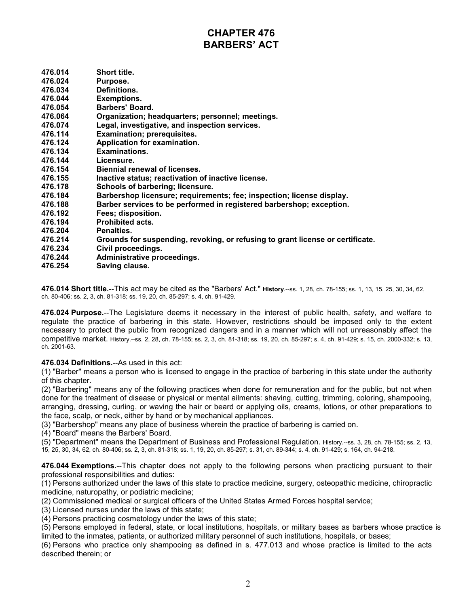# **CHAPTER 476 BARBERS' ACT**

| 476.014 | Short title.                                                                   |
|---------|--------------------------------------------------------------------------------|
| 476.024 | Purpose.                                                                       |
| 476.034 | Definitions.                                                                   |
| 476.044 | <b>Exemptions.</b>                                                             |
| 476.054 | Barbers' Board.                                                                |
| 476.064 | Organization; headquarters; personnel; meetings.                               |
| 476.074 | Legal, investigative, and inspection services.                                 |
| 476.114 | <b>Examination; prerequisites.</b>                                             |
| 476.124 | Application for examination.                                                   |
| 476.134 | Examinations.                                                                  |
| 476.144 | Licensure.                                                                     |
| 476.154 | Biennial renewal of licenses.                                                  |
| 476.155 | Inactive status; reactivation of inactive license.                             |
| 476.178 | Schools of barbering; licensure.                                               |
| 476.184 | Barbershop licensure; requirements; fee; inspection; license display.          |
| 476.188 | Barber services to be performed in registered barbershop; exception.           |
| 476.192 | Fees; disposition.                                                             |
| 476.194 | <b>Prohibited acts.</b>                                                        |
| 476.204 | Penalties.                                                                     |
| 476.214 | Grounds for suspending, revoking, or refusing to grant license or certificate. |
| 476.234 | Civil proceedings.                                                             |
| 476.244 | Administrative proceedings.                                                    |
| 476.254 | Saving clause.                                                                 |
|         |                                                                                |

**476.014 Short title.**--This act may be cited as the "Barbers' Act." **History**.--ss. 1, 28, ch. 78-155; ss. 1, 13, 15, 25, 30, 34, 62, ch. 80-406; ss. 2, 3, ch. 81-318; ss. 19, 20, ch. 85-297; s. 4, ch. 91-429.

**476.024 Purpose.**--The Legislature deems it necessary in the interest of public health, safety, and welfare to regulate the practice of barbering in this state. However, restrictions should be imposed only to the extent necessary to protect the public from recognized dangers and in a manner which will not unreasonably affect the competitive market. History.--ss. 2, 28, ch. 78-155; ss. 2, 3, ch. 81-318; ss. 19, 20, ch. 85-297; s. 4, ch. 91-429; s. 15, ch. 2000-332; s. 13, ch. 2001-63.

#### **476.034 Definitions.**--As used in this act:

(1) "Barber" means a person who is licensed to engage in the practice of barbering in this state under the authority of this chapter.

(2) "Barbering" means any of the following practices when done for remuneration and for the public, but not when done for the treatment of disease or physical or mental ailments: shaving, cutting, trimming, coloring, shampooing, arranging, dressing, curling, or waving the hair or beard or applying oils, creams, lotions, or other preparations to the face, scalp, or neck, either by hand or by mechanical appliances.

(3) "Barbershop" means any place of business wherein the practice of barbering is carried on.

(4) "Board" means the Barbers' Board.

(5) "Department" means the Department of Business and Professional Regulation. History.--ss. 3, 28, ch. 78-155; ss. 2, 13, 15, 25, 30, 34, 62, ch. 80-406; ss. 2, 3, ch. 81-318; ss. 1, 19, 20, ch. 85-297; s. 31, ch. 89-344; s. 4, ch. 91-429; s. 164, ch. 94-218.

**476.044 Exemptions.**--This chapter does not apply to the following persons when practicing pursuant to their professional responsibilities and duties:

(1) Persons authorized under the laws of this state to practice medicine, surgery, osteopathic medicine, chiropractic medicine, naturopathy, or podiatric medicine;

(2) Commissioned medical or surgical officers of the United States Armed Forces hospital service;

(3) Licensed nurses under the laws of this state;

(4) Persons practicing cosmetology under the laws of this state;

(5) Persons employed in federal, state, or local institutions, hospitals, or military bases as barbers whose practice is limited to the inmates, patients, or authorized military personnel of such institutions, hospitals, or bases;

(6) Persons who practice only shampooing as defined in s. 477.013 and whose practice is limited to the acts described therein; or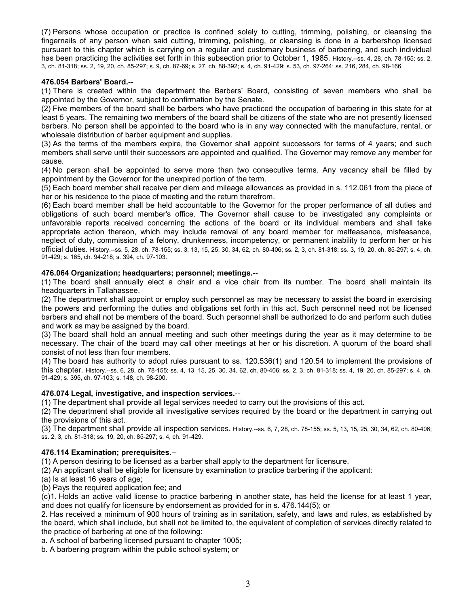(7) Persons whose occupation or practice is confined solely to cutting, trimming, polishing, or cleansing the fingernails of any person when said cutting, trimming, polishing, or cleansing is done in a barbershop licensed pursuant to this chapter which is carrying on a regular and customary business of barbering, and such individual has been practicing the activities set forth in this subsection prior to October 1, 1985. History.--ss. 4, 28, ch. 78-155; ss. 2, 3, ch. 81-318; ss. 2, 19, 20, ch. 85-297; s. 9, ch. 87-69; s. 27, ch. 88-392; s. 4, ch. 91-429; s. 53, ch. 97-264; ss. 216, 284, ch. 98-166.

### **476.054 Barbers' Board.**--

(1) There is created within the department the Barbers' Board, consisting of seven members who shall be appointed by the Governor, subject to confirmation by the Senate.

(2) Five members of the board shall be barbers who have practiced the occupation of barbering in this state for at least 5 years. The remaining two members of the board shall be citizens of the state who are not presently licensed barbers. No person shall be appointed to the board who is in any way connected with the manufacture, rental, or wholesale distribution of barber equipment and supplies.

(3) As the terms of the members expire, the Governor shall appoint successors for terms of 4 years; and such members shall serve until their successors are appointed and qualified. The Governor may remove any member for cause.

(4) No person shall be appointed to serve more than two consecutive terms. Any vacancy shall be filled by appointment by the Governor for the unexpired portion of the term.

(5) Each board member shall receive per diem and mileage allowances as provided in s. 112.061 from the place of her or his residence to the place of meeting and the return therefrom.

(6) Each board member shall be held accountable to the Governor for the proper performance of all duties and obligations of such board member's office. The Governor shall cause to be investigated any complaints or unfavorable reports received concerning the actions of the board or its individual members and shall take appropriate action thereon, which may include removal of any board member for malfeasance, misfeasance, neglect of duty, commission of a felony, drunkenness, incompetency, or permanent inability to perform her or his official duties. History.--ss. 5, 28, ch. 78-155; ss. 3, 13, 15, 25, 30, 34, 62, ch. 80-406; ss. 2, 3, ch. 81-318; ss. 3, 19, 20, ch. 85-297; s. 4, ch. 91-429; s. 165, ch. 94-218; s. 394, ch. 97-103.

#### **476.064 Organization; headquarters; personnel; meetings.**--

(1) The board shall annually elect a chair and a vice chair from its number. The board shall maintain its headquarters in Tallahassee.

(2) The department shall appoint or employ such personnel as may be necessary to assist the board in exercising the powers and performing the duties and obligations set forth in this act. Such personnel need not be licensed barbers and shall not be members of the board. Such personnel shall be authorized to do and perform such duties and work as may be assigned by the board.

(3) The board shall hold an annual meeting and such other meetings during the year as it may determine to be necessary. The chair of the board may call other meetings at her or his discretion. A quorum of the board shall consist of not less than four members.

(4) The board has authority to adopt rules pursuant to ss. 120.536(1) and 120.54 to implement the provisions of this chapter. History.--ss. 6, 28, ch. 78-155; ss. 4, 13, 15, 25, 30, 34, 62, ch. 80-406; ss. 2, 3, ch. 81-318; ss. 4, 19, 20, ch. 85-297; s. 4, ch. 91-429; s. 395, ch. 97-103; s. 148, ch. 98-200.

#### **476.074 Legal, investigative, and inspection services.**--

(1) The department shall provide all legal services needed to carry out the provisions of this act.

(2) The department shall provide all investigative services required by the board or the department in carrying out the provisions of this act.

(3) The department shall provide all inspection services. History.--ss. 6, 7, 28, ch. 78-155; ss. 5, 13, 15, 25, 30, 34, 62, ch. 80-406; ss. 2, 3, ch. 81-318; ss. 19, 20, ch. 85-297; s. 4, ch. 91-429.

#### **476.114 Examination; prerequisites.**--

(1) A person desiring to be licensed as a barber shall apply to the department for licensure.

- (2) An applicant shall be eligible for licensure by examination to practice barbering if the applicant:
- (a) Is at least 16 years of age;
- (b) Pays the required application fee; and

(c)1. Holds an active valid license to practice barbering in another state, has held the license for at least 1 year, and does not qualify for licensure by endorsement as provided for in s. 476.144(5); or

2. Has received a minimum of 900 hours of training as in sanitation, safety, and laws and rules, as established by the board, which shall include, but shall not be limited to, the equivalent of completion of services directly related to the practice of barbering at one of the following:

a. A school of barbering licensed pursuant to chapter 1005;

b. A barbering program within the public school system; or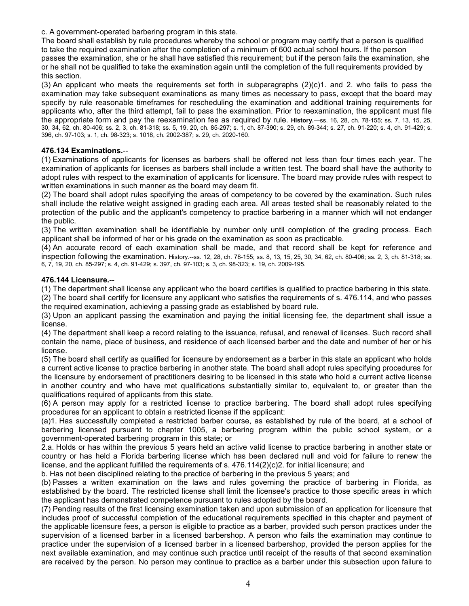c. A government-operated barbering program in this state.

The board shall establish by rule procedures whereby the school or program may certify that a person is qualified to take the required examination after the completion of a minimum of 600 actual school hours. If the person passes the examination, she or he shall have satisfied this requirement; but if the person fails the examination, she or he shall not be qualified to take the examination again until the completion of the full requirements provided by this section.

(3) An applicant who meets the requirements set forth in subparagraphs (2)(c)1. and 2. who fails to pass the examination may take subsequent examinations as many times as necessary to pass, except that the board may specify by rule reasonable timeframes for rescheduling the examination and additional training requirements for applicants who, after the third attempt, fail to pass the examination. Prior to reexamination, the applicant must file the appropriate form and pay the reexamination fee as required by rule. **History.**—ss. 16, 28, ch. 78-155; ss. 7, 13, 15, 25, 30, 34, 62, ch. 80-406; ss. 2, 3, ch. 81-318; ss. 5, 19, 20, ch. 85-297; s. 1, ch. 87-390; s. 29, ch. 89-344; s. 27, ch. 91-220; s. 4, ch. 91-429; s. 396, ch. 97-103; s. 1, ch. 98-323; s. 1018, ch. 2002-387; s. 29, ch. 2020-160.

#### **476.134 Examinations.**--

(1) Examinations of applicants for licenses as barbers shall be offered not less than four times each year. The examination of applicants for licenses as barbers shall include a written test. The board shall have the authority to adopt rules with respect to the examination of applicants for licensure. The board may provide rules with respect to written examinations in such manner as the board may deem fit.

(2) The board shall adopt rules specifying the areas of competency to be covered by the examination. Such rules shall include the relative weight assigned in grading each area. All areas tested shall be reasonably related to the protection of the public and the applicant's competency to practice barbering in a manner which will not endanger the public.

(3) The written examination shall be identifiable by number only until completion of the grading process. Each applicant shall be informed of her or his grade on the examination as soon as practicable.

(4) An accurate record of each examination shall be made, and that record shall be kept for reference and inspection following the examination. History.--ss. 12, 28, ch. 78-155; ss. 8, 13, 15, 25, 30, 34, 62, ch. 80-406; ss. 2, 3, ch. 81-318; ss. 6, 7, 19, 20, ch. 85-297; s. 4, ch. 91-429; s. 397, ch. 97-103; s. 3, ch. 98-323; s. 19, ch. 2009-195.

#### **476.144 Licensure.**--

(1) The department shall license any applicant who the board certifies is qualified to practice barbering in this state. (2) The board shall certify for licensure any applicant who satisfies the requirements of s. 476.114, and who passes

the required examination, achieving a passing grade as established by board rule.

(3) Upon an applicant passing the examination and paying the initial licensing fee, the department shall issue a license.

(4) The department shall keep a record relating to the issuance, refusal, and renewal of licenses. Such record shall contain the name, place of business, and residence of each licensed barber and the date and number of her or his license.

(5) The board shall certify as qualified for licensure by endorsement as a barber in this state an applicant who holds a current active license to practice barbering in another state. The board shall adopt rules specifying procedures for the licensure by endorsement of practitioners desiring to be licensed in this state who hold a current active license in another country and who have met qualifications substantially similar to, equivalent to, or greater than the qualifications required of applicants from this state.

(6) A person may apply for a restricted license to practice barbering. The board shall adopt rules specifying procedures for an applicant to obtain a restricted license if the applicant:

(a)1. Has successfully completed a restricted barber course, as established by rule of the board, at a school of barbering licensed pursuant to chapter 1005, a barbering program within the public school system, or a government-operated barbering program in this state; or

2.a. Holds or has within the previous 5 years held an active valid license to practice barbering in another state or country or has held a Florida barbering license which has been declared null and void for failure to renew the license, and the applicant fulfilled the requirements of s. 476.114(2)(c)2. for initial licensure; and

b. Has not been disciplined relating to the practice of barbering in the previous 5 years; and

(b) Passes a written examination on the laws and rules governing the practice of barbering in Florida, as established by the board. The restricted license shall limit the licensee's practice to those specific areas in which the applicant has demonstrated competence pursuant to rules adopted by the board.

(7) Pending results of the first licensing examination taken and upon submission of an application for licensure that includes proof of successful completion of the educational requirements specified in this chapter and payment of the applicable licensure fees, a person is eligible to practice as a barber, provided such person practices under the supervision of a licensed barber in a licensed barbershop. A person who fails the examination may continue to practice under the supervision of a licensed barber in a licensed barbershop, provided the person applies for the next available examination, and may continue such practice until receipt of the results of that second examination are received by the person. No person may continue to practice as a barber under this subsection upon failure to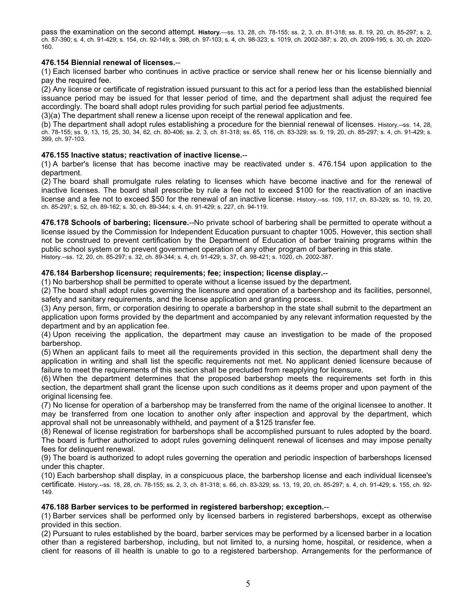pass the examination on the second attempt. **History.**—ss. 13, 28, ch. 78-155; ss. 2, 3, ch. 81-318; ss. 8, 19, 20, ch. 85-297; s. 2, ch. 87-390; s. 4, ch. 91-429; s. 154, ch. 92-149; s. 398, ch. 97-103; s. 4, ch. 98-323; s. 1019, ch. 2002-387; s. 20, ch. 2009-195; s. 30, ch. 2020- 160.

### **476.154 Biennial renewal of licenses.**--

(1) Each licensed barber who continues in active practice or service shall renew her or his license biennially and pay the required fee.

(2) Any license or certificate of registration issued pursuant to this act for a period less than the established biennial issuance period may be issued for that lesser period of time, and the department shall adjust the required fee accordingly. The board shall adopt rules providing for such partial period fee adjustments.

(3)(a) The department shall renew a license upon receipt of the renewal application and fee.

(b) The department shall adopt rules establishing a procedure for the biennial renewal of licenses. History.--ss. 14, 28, ch. 78-155; ss. 9, 13, 15, 25, 30, 34, 62, ch. 80-406; ss. 2, 3, ch. 81-318; ss. 65, 116, ch. 83-329; ss. 9, 19, 20, ch. 85-297; s. 4, ch. 91-429; s. 399, ch. 97-103.

#### **476.155 Inactive status; reactivation of inactive license.**--

(1) A barber's license that has become inactive may be reactivated under s. 476.154 upon application to the department.

(2) The board shall promulgate rules relating to licenses which have become inactive and for the renewal of inactive licenses. The board shall prescribe by rule a fee not to exceed \$100 for the reactivation of an inactive license and a fee not to exceed \$50 for the renewal of an inactive license. History.--ss. 109, 117, ch. 83-329; ss. 10, 19, 20, ch. 85-297; s. 52, ch. 89-162; s. 30, ch. 89-344; s. 4, ch. 91-429; s. 227, ch. 94-119.

**476.178 Schools of barbering; licensure.**--No private school of barbering shall be permitted to operate without a license issued by the Commission for Independent Education pursuant to chapter 1005. However, this section shall not be construed to prevent certification by the Department of Education of barber training programs within the public school system or to prevent government operation of any other program of barbering in this state. History.--ss. 12, 20, ch. 85-297; s. 32, ch. 89-344; s. 4, ch. 91-429; s. 37, ch. 98-421; s. 1020, ch. 2002-387.

#### **476.184 Barbershop licensure; requirements; fee; inspection; license display.**--

(1) No barbershop shall be permitted to operate without a license issued by the department.

(2) The board shall adopt rules governing the licensure and operation of a barbershop and its facilities, personnel, safety and sanitary requirements, and the license application and granting process.

(3) Any person, firm, or corporation desiring to operate a barbershop in the state shall submit to the department an application upon forms provided by the department and accompanied by any relevant information requested by the department and by an application fee.

(4) Upon receiving the application, the department may cause an investigation to be made of the proposed barbershop.

(5) When an applicant fails to meet all the requirements provided in this section, the department shall deny the application in writing and shall list the specific requirements not met. No applicant denied licensure because of failure to meet the requirements of this section shall be precluded from reapplying for licensure.

(6) When the department determines that the proposed barbershop meets the requirements set forth in this section, the department shall grant the license upon such conditions as it deems proper and upon payment of the original licensing fee.

(7) No license for operation of a barbershop may be transferred from the name of the original licensee to another. It may be transferred from one location to another only after inspection and approval by the department, which approval shall not be unreasonably withheld, and payment of a \$125 transfer fee.

(8) Renewal of license registration for barbershops shall be accomplished pursuant to rules adopted by the board. The board is further authorized to adopt rules governing delinquent renewal of licenses and may impose penalty fees for delinquent renewal.

(9) The board is authorized to adopt rules governing the operation and periodic inspection of barbershops licensed under this chapter.

(10) Each barbershop shall display, in a conspicuous place, the barbershop license and each individual licensee's certificate. History.--ss. 18, 28, ch. 78-155; ss. 2, 3, ch. 81-318; s. 66, ch. 83-329; ss. 13, 19, 20, ch. 85-297; s. 4, ch. 91-429; s. 155, ch. 92- 149.

#### **476.188 Barber services to be performed in registered barbershop; exception.**--

(1) Barber services shall be performed only by licensed barbers in registered barbershops, except as otherwise provided in this section.

(2) Pursuant to rules established by the board, barber services may be performed by a licensed barber in a location other than a registered barbershop, including, but not limited to, a nursing home, hospital, or residence, when a client for reasons of ill health is unable to go to a registered barbershop. Arrangements for the performance of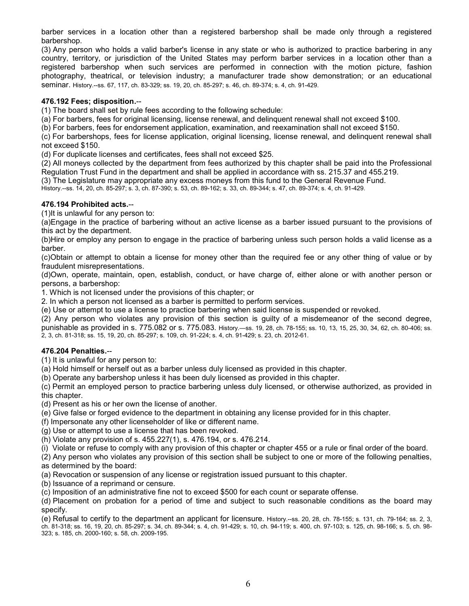barber services in a location other than a registered barbershop shall be made only through a registered barbershop.

(3) Any person who holds a valid barber's license in any state or who is authorized to practice barbering in any country, territory, or jurisdiction of the United States may perform barber services in a location other than a registered barbershop when such services are performed in connection with the motion picture, fashion photography, theatrical, or television industry; a manufacturer trade show demonstration; or an educational seminar. History.--ss. 67, 117, ch. 83-329; ss. 19, 20, ch. 85-297; s. 46, ch. 89-374; s. 4, ch. 91-429.

### **476.192 Fees; disposition.**--

(1) The board shall set by rule fees according to the following schedule:

(a) For barbers, fees for original licensing, license renewal, and delinquent renewal shall not exceed \$100.

(b) For barbers, fees for endorsement application, examination, and reexamination shall not exceed \$150.

(c) For barbershops, fees for license application, original licensing, license renewal, and delinquent renewal shall not exceed \$150.

(d) For duplicate licenses and certificates, fees shall not exceed \$25.

(2) All moneys collected by the department from fees authorized by this chapter shall be paid into the Professional Regulation Trust Fund in the department and shall be applied in accordance with ss. 215.37 and 455.219.

(3) The Legislature may appropriate any excess moneys from this fund to the General Revenue Fund.

History.--ss. 14, 20, ch. 85-297; s. 3, ch. 87-390; s. 53, ch. 89-162; s. 33, ch. 89-344; s. 47, ch. 89-374; s. 4, ch. 91-429.

## **476.194 Prohibited acts.**--

(1)It is unlawful for any person to:

(a)Engage in the practice of barbering without an active license as a barber issued pursuant to the provisions of this act by the department.

(b)Hire or employ any person to engage in the practice of barbering unless such person holds a valid license as a barber.

(c)Obtain or attempt to obtain a license for money other than the required fee or any other thing of value or by fraudulent misrepresentations.

(d)Own, operate, maintain, open, establish, conduct, or have charge of, either alone or with another person or persons, a barbershop:

1. Which is not licensed under the provisions of this chapter; or

2. In which a person not licensed as a barber is permitted to perform services.

(e) Use or attempt to use a license to practice barbering when said license is suspended or revoked.

(2) Any person who violates any provision of this section is guilty of a misdemeanor of the second degree,

punishable as provided in s. [775.082](http://www.leg.state.fl.us/Statutes/index.cfm?App_mode=Display_Statute&Search_String=&URL=0700-0799/0775/Sections/0775.082.html) or s. [775.083.](http://www.leg.state.fl.us/Statutes/index.cfm?App_mode=Display_Statute&Search_String=&URL=0700-0799/0775/Sections/0775.083.html) History.—ss. 19, 28, ch. 78-155; ss. 10, 13, 15, 25, 30, 34, 62, ch. 80-406; ss. 2, 3, ch. 81-318; ss. 15, 19, 20, ch. 85-297; s. 109, ch. 91-224; s. 4, ch. 91-429; s. 23, ch. 2012-61.

#### **476.204 Penalties.**--

(1) It is unlawful for any person to:

(a) Hold himself or herself out as a barber unless duly licensed as provided in this chapter.

(b) Operate any barbershop unless it has been duly licensed as provided in this chapter.

(c) Permit an employed person to practice barbering unless duly licensed, or otherwise authorized, as provided in this chapter.

(d) Present as his or her own the license of another.

(e) Give false or forged evidence to the department in obtaining any license provided for in this chapter.

(f) Impersonate any other licenseholder of like or different name.

(g) Use or attempt to use a license that has been revoked.

(h) Violate any provision of s. 455.227(1), s. 476.194, or s. 476.214.

(i) Violate or refuse to comply with any provision of this chapter or chapter 455 or a rule or final order of the board.

(2) Any person who violates any provision of this section shall be subject to one or more of the following penalties,

as determined by the board:

(a) Revocation or suspension of any license or registration issued pursuant to this chapter.

(b) Issuance of a reprimand or censure.

(c) Imposition of an administrative fine not to exceed \$500 for each count or separate offense.

(d) Placement on probation for a period of time and subject to such reasonable conditions as the board may specify.

(e) Refusal to certify to the department an applicant for licensure. History.--ss. 20, 28, ch. 78-155; s. 131, ch. 79-164; ss. 2, 3, ch. 81-318; ss. 16, 19, 20, ch. 85-297; s. 34, ch. 89-344; s. 4, ch. 91-429; s. 10, ch. 94-119; s. 400, ch. 97-103; s. 125, ch. 98-166; s. 5, ch. 98- 323; s. 185, ch. 2000-160; s. 58, ch. 2009-195.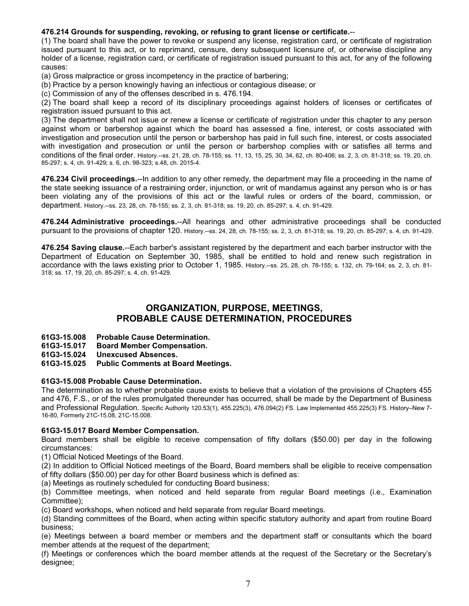# **476.214 Grounds for suspending, revoking, or refusing to grant license or certificate.**--

(1) The board shall have the power to revoke or suspend any license, registration card, or certificate of registration issued pursuant to this act, or to reprimand, censure, deny subsequent licensure of, or otherwise discipline any holder of a license, registration card, or certificate of registration issued pursuant to this act, for any of the following causes:

(a) Gross malpractice or gross incompetency in the practice of barbering;

(b) Practice by a person knowingly having an infectious or contagious disease; or

(c) Commission of any of the offenses described in s. 476.194.

(2) The board shall keep a record of its disciplinary proceedings against holders of licenses or certificates of registration issued pursuant to this act.

(3) The department shall not issue or renew a license or certificate of registration under this chapter to any person against whom or barbershop against which the board has assessed a fine, interest, or costs associated with investigation and prosecution until the person or barbershop has paid in full such fine, interest, or costs associated with investigation and prosecution or until the person or barbershop complies with or satisfies all terms and conditions of the final order. History.--ss. 21, 28, ch. 78-155; ss. 11, 13, 15, 25, 30, 34, 62, ch. 80-406; ss. 2, 3, ch. 81-318; ss. 19, 20, ch. 85-297; s. 4, ch. 91-429; s. 6, ch. 98-323; s.48, ch. 2015-4.

**476.234 Civil proceedings.**--In addition to any other remedy, the department may file a proceeding in the name of the state seeking issuance of a restraining order, injunction, or writ of mandamus against any person who is or has been violating any of the provisions of this act or the lawful rules or orders of the board, commission, or department. History.--ss. 23, 28, ch. 78-155; ss. 2, 3, ch. 81-318; ss. 19, 20, ch. 85-297; s. 4, ch. 91-429.

**476.244 Administrative proceedings.**--All hearings and other administrative proceedings shall be conducted pursuant to the provisions of chapter 120. History.--ss. 24, 28, ch. 78-155; ss. 2, 3, ch. 81-318; ss. 19, 20, ch. 85-297; s. 4, ch. 91-429.

**476.254 Saving clause.**--Each barber's assistant registered by the department and each barber instructor with the Department of Education on September 30, 1985, shall be entitled to hold and renew such registration in accordance with the laws existing prior to October 1, 1985. History.--ss. 25, 28, ch. 78-155; s. 132, ch. 79-164; ss. 2, 3, ch. 81- 318; ss. 17, 19, 20, ch. 85-297; s. 4, ch. 91-429.

# **ORGANIZATION, PURPOSE, MEETINGS, PROBABLE CAUSE DETERMINATION, PROCEDURES**

**61G3-15.008 Probable Cause Determination.**

**61G3-15.017 Board Member Compensation.**

**61G3-15.024 Unexcused Absences.**

#### **61G3-15.025 Public Comments at Board Meetings.**

#### **61G3-15.008 Probable Cause Determination.**

The determination as to whether probable cause exists to believe that a violation of the provisions of Chapters 455 and 476, F.S., or of the rules promulgated thereunder has occurred, shall be made by the Department of Business and Professional Regulation. Specific Authority 120.53(1), 455.225(3), 476.094(2) FS. Law Implemented 455.225(3) FS. History–New 7- 16-80, Formerly 21C-15.08, 21C-15.008.

#### **61G3-15.017 Board Member Compensation.**

Board members shall be eligible to receive compensation of fifty dollars (\$50.00) per day in the following circumstances:

(1) Official Noticed Meetings of the Board.

(2) In addition to Official Noticed meetings of the Board, Board members shall be eligible to receive compensation of fifty dollars (\$50.00) per day for other Board business which is defined as:

(a) Meetings as routinely scheduled for conducting Board business;

(b) Committee meetings, when noticed and held separate from regular Board meetings (i.e., Examination Committee);

(c) Board workshops, when noticed and held separate from regular Board meetings.

(d) Standing committees of the Board, when acting within specific statutory authority and apart from routine Board business;

(e) Meetings between a board member or members and the department staff or consultants which the board member attends at the request of the department;

(f) Meetings or conferences which the board member attends at the request of the Secretary or the Secretary's designee;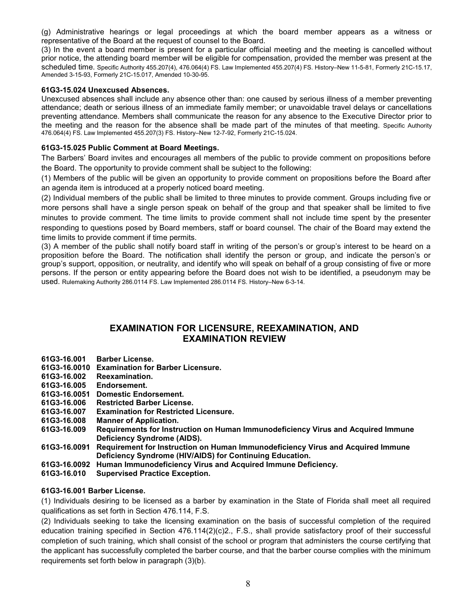(g) Administrative hearings or legal proceedings at which the board member appears as a witness or representative of the Board at the request of counsel to the Board.

(3) In the event a board member is present for a particular official meeting and the meeting is cancelled without prior notice, the attending board member will be eligible for compensation, provided the member was present at the scheduled time. Specific Authority 455.207(4), 476.064(4) FS. Law Implemented 455.207(4) FS. History–New 11-5-81, Formerly 21C-15.17, Amended 3-15-93, Formerly 21C-15.017, Amended 10-30-95.

### **61G3-15.024 Unexcused Absences.**

Unexcused absences shall include any absence other than: one caused by serious illness of a member preventing attendance; death or serious illness of an immediate family member; or unavoidable travel delays or cancellations preventing attendance. Members shall communicate the reason for any absence to the Executive Director prior to the meeting and the reason for the absence shall be made part of the minutes of that meeting. Specific Authority 476.064(4) FS. Law Implemented 455.207(3) FS. History–New 12-7-92, Formerly 21C-15.024.

## **61G3-15.025 Public Comment at Board Meetings.**

The Barbers' Board invites and encourages all members of the public to provide comment on propositions before the Board. The opportunity to provide comment shall be subject to the following:

(1) Members of the public will be given an opportunity to provide comment on propositions before the Board after an agenda item is introduced at a properly noticed board meeting.

(2) Individual members of the public shall be limited to three minutes to provide comment. Groups including five or more persons shall have a single person speak on behalf of the group and that speaker shall be limited to five minutes to provide comment. The time limits to provide comment shall not include time spent by the presenter responding to questions posed by Board members, staff or board counsel. The chair of the Board may extend the time limits to provide comment if time permits.

(3) A member of the public shall notify board staff in writing of the person's or group's interest to be heard on a proposition before the Board. The notification shall identify the person or group, and indicate the person's or group's support, opposition, or neutrality, and identify who will speak on behalf of a group consisting of five or more persons. If the person or entity appearing before the Board does not wish to be identified, a pseudonym may be used. Rulemaking Authority 286.0114 FS. Law Implemented 286.0114 FS. History–New 6-3-14.

# **EXAMINATION FOR LICENSURE, REEXAMINATION, AND EXAMINATION REVIEW**

- **61G3-16.001 Barber License.**
- **61G3-16.0010 Examination for Barber Licensure.**
- **61G3-16.002 Reexamination.**
- **61G3-16.005 Endorsement.**
- **61G3-16.0051 Domestic Endorsement.**
- **61G3-16.006 Restricted Barber License.**
- **61G3-16.007 Examination for Restricted Licensure.**
- **61G3-16.008 Manner of Application.**
- **61G3-16.009 Requirements for Instruction on Human Immunodeficiency Virus and Acquired Immune Deficiency Syndrome (AIDS).**
- **61G3-16.0091 Requirement for Instruction on Human Immunodeficiency Virus and Acquired Immune Deficiency Syndrome (HIV/AIDS) for Continuing Education.**
- **61G3-16.0092 Human Immunodeficiency Virus and Acquired Immune Deficiency.**
- **61G3-16.010 Supervised Practice Exception.**

#### **61G3-16.001 Barber License.**

(1) Individuals desiring to be licensed as a barber by examination in the State of Florida shall meet all required qualifications as set forth in Section 476.114, F.S.

(2) Individuals seeking to take the licensing examination on the basis of successful completion of the required education training specified in Section 476.114(2)(c)2., F.S., shall provide satisfactory proof of their successful completion of such training, which shall consist of the school or program that administers the course certifying that the applicant has successfully completed the barber course, and that the barber course complies with the minimum requirements set forth below in paragraph (3)(b).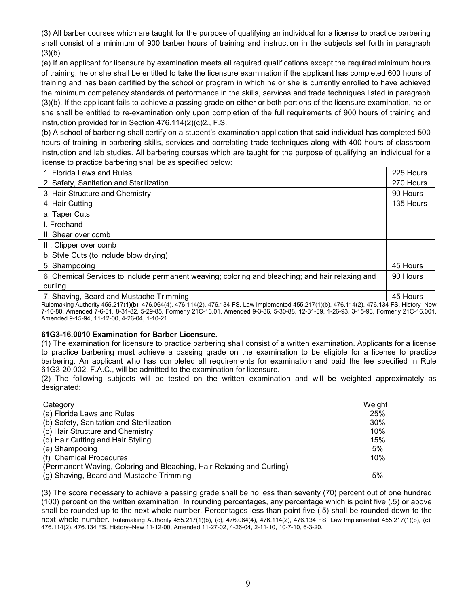(3) All barber courses which are taught for the purpose of qualifying an individual for a license to practice barbering shall consist of a minimum of 900 barber hours of training and instruction in the subjects set forth in paragraph  $(3)(b)$ .

(a) If an applicant for licensure by examination meets all required qualifications except the required minimum hours of training, he or she shall be entitled to take the licensure examination if the applicant has completed 600 hours of training and has been certified by the school or program in which he or she is currently enrolled to have achieved the minimum competency standards of performance in the skills, services and trade techniques listed in paragraph (3)(b). If the applicant fails to achieve a passing grade on either or both portions of the licensure examination, he or she shall be entitled to re-examination only upon completion of the full requirements of 900 hours of training and instruction provided for in Section 476.114(2)(c)2., F.S.

(b) A school of barbering shall certify on a student's examination application that said individual has completed 500 hours of training in barbering skills, services and correlating trade techniques along with 400 hours of classroom instruction and lab studies. All barbering courses which are taught for the purpose of qualifying an individual for a license to practice barbering shall be as specified below:

| 2. Safety, Sanitation and Sterilization                                                                                                                                         | 270 Hours |
|---------------------------------------------------------------------------------------------------------------------------------------------------------------------------------|-----------|
| 3. Hair Structure and Chemistry                                                                                                                                                 | 90 Hours  |
| 4. Hair Cutting                                                                                                                                                                 | 135 Hours |
| a. Taper Cuts                                                                                                                                                                   |           |
| I. Freehand                                                                                                                                                                     |           |
| II. Shear over comb                                                                                                                                                             |           |
| III. Clipper over comb                                                                                                                                                          |           |
| b. Style Cuts (to include blow drying)                                                                                                                                          |           |
| 5. Shampooing                                                                                                                                                                   | 45 Hours  |
| 6. Chemical Services to include permanent weaving; coloring and bleaching; and hair relaxing and                                                                                | 90 Hours  |
| curling.                                                                                                                                                                        |           |
| 7. Shaving, Beard and Mustache Trimming<br>Dulamaking Authority AEE 047(4)(b) 470 004(4) 470 444(0) 470 404 FO. Loughangeria 4 AEE 047(4)(b) 470 444(0) 470 404 FO. History Nav | 45 Hours  |

Rulemaking Authority 455.217(1)(b), 476.064(4), 476.114(2), 476.134 FS. Law Implemented 455.217(1)(b), 476.114(2), 476.134 FS. History–New 7-16-80, Amended 7-6-81, 8-31-82, 5-29-85, Formerly 21C-16.01, Amended 9-3-86, 5-30-88, 12-31-89, 1-26-93, 3-15-93, Formerly 21C-16.001, Amended 9-15-94, 11-12-00, 4-26-04, 1-10-21.

#### **[61G3-16.0010](https://www.flrules.org/gateway/ruleNo.asp?id=61G3-16.0010) Examination for Barber Licensure.**

(1) The examination for licensure to practice barbering shall consist of a written examination. Applicants for a license to practice barbering must achieve a passing grade on the examination to be eligible for a license to practice barbering. An applicant who has completed all requirements for examination and paid the fee specified in Rule 61G3-20.002, F.A.C., will be admitted to the examination for licensure.

(2) The following subjects will be tested on the written examination and will be weighted approximately as designated:

| Category                                                              | Weight |
|-----------------------------------------------------------------------|--------|
| (a) Florida Laws and Rules                                            | 25%    |
| (b) Safety, Sanitation and Sterilization                              | 30%    |
| (c) Hair Structure and Chemistry                                      | 10%    |
| (d) Hair Cutting and Hair Styling                                     | 15%    |
| (e) Shampooing                                                        | 5%     |
| (f) Chemical Procedures                                               | 10%    |
| (Permanent Waving, Coloring and Bleaching, Hair Relaxing and Curling) |        |
| (g) Shaving, Beard and Mustache Trimming                              | 5%     |

(3) The score necessary to achieve a passing grade shall be no less than seventy (70) percent out of one hundred (100) percent on the written examination. In rounding percentages, any percentage which is point five (.5) or above shall be rounded up to the next whole number. Percentages less than point five (.5) shall be rounded down to the next whole number. Rulemaking Authority 455.217(1)(b), (c), 476.064(4), 476.114(2), 476.134 FS. Law Implemented 455.217(1)(b), (c), 476.114(2), 476.134 FS. History–New 11-12-00, Amended 11-27-02, 4-26-04, 2-11-10, 10-7-10, 6-3-20.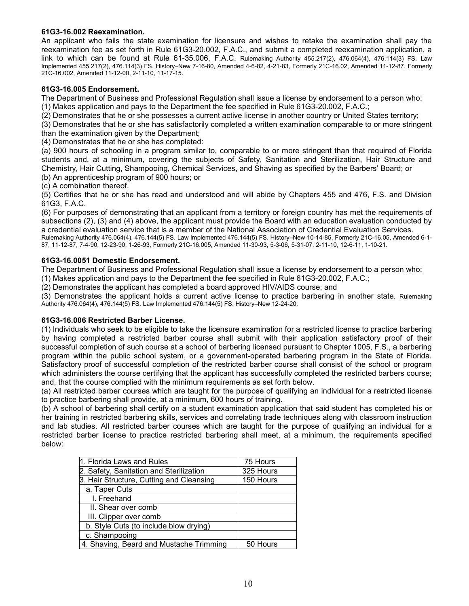#### **[61G3-16.002](https://www.flrules.org/gateway/ruleNo.asp?id=61G3-16.002) Reexamination.**

An applicant who fails the state examination for licensure and wishes to retake the examination shall pay the reexamination fee as set forth in Rule 61G3-20.002, F.A.C., and submit a completed reexamination application, a link to which can be found at Rule 61-35.006, F.A.C. Rulemaking Authority 455.217(2), 476.064(4), 476.114(3) FS. Law Implemented 455.217(2), 476.114(3) FS. History–New 7-16-80, Amended 4-6-82, 4-21-83, Formerly 21C-16.02, Amended 11-12-87, Formerly 21C-16.002, Amended 11-12-00, 2-11-10, 11-17-15.

## **[61G3-16.005](https://www.flrules.org/gateway/ruleNo.asp?id=61G3-16.005) Endorsement.**

The Department of Business and Professional Regulation shall issue a license by endorsement to a person who:

(1) Makes application and pays to the Department the fee specified in Rule 61G3-20.002, F.A.C.;

(2) Demonstrates that he or she possesses a current active license in another country or United States territory;

(3) Demonstrates that he or she has satisfactorily completed a written examination comparable to or more stringent than the examination given by the Department;

(4) Demonstrates that he or she has completed:

(a) 900 hours of schooling in a program similar to, comparable to or more stringent than that required of Florida students and, at a minimum, covering the subjects of Safety, Sanitation and Sterilization, Hair Structure and Chemistry, Hair Cutting, Shampooing, Chemical Services, and Shaving as specified by the Barbers' Board; or (b) An apprenticeship program of 900 hours; or

(c) A combination thereof.

(5) Certifies that he or she has read and understood and will abide by Chapters 455 and 476, F.S. and Division 61G3, F.A.C.

(6) For purposes of demonstrating that an applicant from a territory or foreign country has met the requirements of subsections (2), (3) and (4) above, the applicant must provide the Board with an education evaluation conducted by a credential evaluation service that is a member of the National Association of Credential Evaluation Services.

Rulemaking Authority 476.064(4), 476.144(5) FS. Law Implemented 476.144(5) FS. History–New 10-14-85, Formerly 21C-16.05, Amended 6-1- 87, 11-12-87, 7-4-90, 12-23-90, 1-26-93, Formerly 21C-16.005, Amended 11-30-93, 5-3-06, 5-31-07, 2-11-10, 12-6-11, 1-10-21.

#### **61G3-16.0051 Domestic Endorsement.**

The Department of Business and Professional Regulation shall issue a license by endorsement to a person who:

(1) Makes application and pays to the Department the fee specified in Rule 61G3-20.002, F.A.C.;

(2) Demonstrates the applicant has completed a board approved HIV/AIDS course; and

(3) Demonstrates the applicant holds a current active license to practice barbering in another state. Rulemaking Authority 476.064(4), 476.144(5) FS. Law Implemented 476.144(5) FS. History–New 12-24-20.

#### **61G3-16.006 Restricted Barber License.**

(1) Individuals who seek to be eligible to take the licensure examination for a restricted license to practice barbering by having completed a restricted barber course shall submit with their application satisfactory proof of their successful completion of such course at a school of barbering licensed pursuant to Chapter 1005, F.S., a barbering program within the public school system, or a government-operated barbering program in the State of Florida. Satisfactory proof of successful completion of the restricted barber course shall consist of the school or program which administers the course certifying that the applicant has successfully completed the restricted barbers course; and, that the course complied with the minimum requirements as set forth below.

(a) All restricted barber courses which are taught for the purpose of qualifying an individual for a restricted license to practice barbering shall provide, at a minimum, 600 hours of training.

(b) A school of barbering shall certify on a student examination application that said student has completed his or her training in restricted barbering skills, services and correlating trade techniques along with classroom instruction and lab studies. All restricted barber courses which are taught for the purpose of qualifying an individual for a restricted barber license to practice restricted barbering shall meet, at a minimum, the requirements specified below:

| 1. Florida Laws and Rules                | 75 Hours  |
|------------------------------------------|-----------|
| 2. Safety, Sanitation and Sterilization  | 325 Hours |
| 3. Hair Structure, Cutting and Cleansing | 150 Hours |
| a. Taper Cuts                            |           |
| I. Freehand                              |           |
| II. Shear over comb                      |           |
| III. Clipper over comb                   |           |
| b. Style Cuts (to include blow drying)   |           |
| c. Shampooing                            |           |
| 4. Shaving, Beard and Mustache Trimming  | 50 Hours  |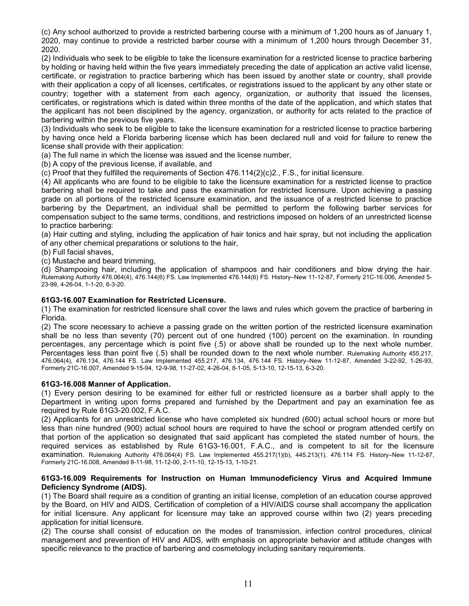(c) Any school authorized to provide a restricted barbering course with a minimum of 1,200 hours as of January 1, 2020, may continue to provide a restricted barber course with a minimum of 1,200 hours through December 31, 2020.

(2) Individuals who seek to be eligible to take the licensure examination for a restricted license to practice barbering by holding or having held within the five years immediately preceding the date of application an active valid license, certificate, or registration to practice barbering which has been issued by another state or country, shall provide with their application a copy of all licenses, certificates, or registrations issued to the applicant by any other state or country; together with a statement from each agency, organization, or authority that issued the licenses, certificates, or registrations which is dated within three months of the date of the application, and which states that the applicant has not been disciplined by the agency, organization, or authority for acts related to the practice of barbering within the previous five years.

(3) Individuals who seek to be eligible to take the licensure examination for a restricted license to practice barbering by having once held a Florida barbering license which has been declared null and void for failure to renew the license shall provide with their application:

(a) The full name in which the license was issued and the license number,

(b) A copy of the previous license, if available, and

(c) Proof that they fulfilled the requirements of Section 476.114(2)(c)2., F.S., for initial licensure.

(4) All applicants who are found to be eligible to take the licensure examination for a restricted license to practice barbering shall be required to take and pass the examination for restricted licensure. Upon achieving a passing grade on all portions of the restricted licensure examination, and the issuance of a restricted license to practice barbering by the Department, an individual shall be permitted to perform the following barber services for compensation subject to the same terms, conditions, and restrictions imposed on holders of an unrestricted license to practice barbering:

(a) Hair cutting and styling, including the application of hair tonics and hair spray, but not including the application of any other chemical preparations or solutions to the hair,

(b) Full facial shaves,

(c) Mustache and beard trimming,

(d) Shampooing hair, including the application of shampoos and hair conditioners and blow drying the hair. Rulemaking Authority 476.064(4), 476.144(6) FS. Law Implemented 476.144(6) FS. History–New 11-12-87, Formerly 21C-16.006, Amended 5- 23-99, 4-26-04, 1-1-20, 6-3-20.

#### **61G3-16.007 Examination for Restricted Licensure.**

(1) The examination for restricted licensure shall cover the laws and rules which govern the practice of barbering in Florida.

(2) The score necessary to achieve a passing grade on the written portion of the restricted licensure examination shall be no less than seventy (70) percent out of one hundred (100) percent on the examination. In rounding percentages, any percentage which is point five (.5) or above shall be rounded up to the next whole number. Percentages less than point five (.5) shall be rounded down to the next whole number. Rulemaking Authority 455.217, 476.064(4), 476.134, 476.144 FS. Law Implemented 455.217, 476.134, 476.144 FS. History–New 11-12-87, Amended 3-22-92, 1-26-93, Formerly 21C-16.007, Amended 9-15-94, 12-9-98, 11-27-02, 4-26-04, 8-1-05, 5-13-10, 12-15-13, 6-3-20.

#### **61G3-16.008 Manner of Application.**

(1) Every person desiring to be examined for either full or restricted licensure as a barber shall apply to the Department in writing upon forms prepared and furnished by the Department and pay an examination fee as required by Rule 61G3-20.002, F.A.C.

(2) Applicants for an unrestricted license who have completed six hundred (600) actual school hours or more but less than nine hundred (900) actual school hours are required to have the school or program attended certify on that portion of the application so designated that said applicant has completed the stated number of hours, the required services as established by Rule 61G3-16.001, F.A.C., and is competent to sit for the licensure examination. Rulemaking Authority 476.064(4) FS. Law Implemented 455.217(1)(b), 445.213(1), 476.114 FS. History–New 11-12-87, Formerly 21C-16.008, Amended 8-11-98, 11-12-00, 2-11-10, 12-15-13, 1-10-21.

#### **61G3-16.009 Requirements for Instruction on Human Immunodeficiency Virus and Acquired Immune Deficiency Syndrome (AIDS).**

(1) The Board shall require as a condition of granting an initial license, completion of an education course approved by the Board, on HIV and AIDS. Certification of completion of a HIV/AIDS course shall accompany the application for initial licensure. Any applicant for licensure may take an approved course within two (2) years preceding application for initial licensure.

(2) The course shall consist of education on the modes of transmission, infection control procedures, clinical management and prevention of HIV and AIDS, with emphasis on appropriate behavior and attitude changes with specific relevance to the practice of barbering and cosmetology including sanitary requirements.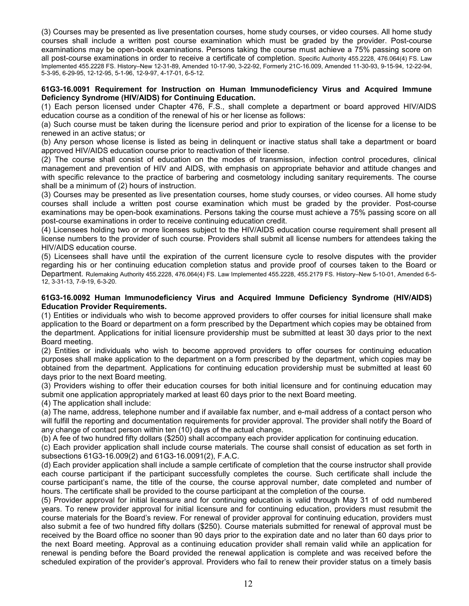(3) Courses may be presented as live presentation courses, home study courses, or video courses. All home study courses shall include a written post course examination which must be graded by the provider. Post-course examinations may be open-book examinations. Persons taking the course must achieve a 75% passing score on all post-course examinations in order to receive a certificate of completion. Specific Authority 455.2228, 476.064(4) FS. Law Implemented 455.2228 FS. History–New 12-31-89, Amended 10-17-90, 3-22-92, Formerly 21C-16.009, Amended 11-30-93, 9-15-94, 12-22-94, 5-3-95, 6-29-95, 12-12-95, 5-1-96, 12-9-97, 4-17-01, 6-5-12.

#### **61G3-16.0091 Requirement for Instruction on Human Immunodeficiency Virus and Acquired Immune Deficiency Syndrome (HIV/AIDS) for Continuing Education.**

(1) Each person licensed under Chapter 476, F.S., shall complete a department or board approved HIV/AIDS education course as a condition of the renewal of his or her license as follows:

(a) Such course must be taken during the licensure period and prior to expiration of the license for a license to be renewed in an active status; or

(b) Any person whose license is listed as being in delinquent or inactive status shall take a department or board approved HIV/AIDS education course prior to reactivation of their license.

(2) The course shall consist of education on the modes of transmission, infection control procedures, clinical management and prevention of HIV and AIDS, with emphasis on appropriate behavior and attitude changes and with specific relevance to the practice of barbering and cosmetology including sanitary requirements. The course shall be a minimum of (2) hours of instruction.

(3) Courses may be presented as live presentation courses, home study courses, or video courses. All home study courses shall include a written post course examination which must be graded by the provider. Post-course examinations may be open-book examinations. Persons taking the course must achieve a 75% passing score on all post-course examinations in order to receive continuing education credit.

(4) Licensees holding two or more licenses subject to the HIV/AIDS education course requirement shall present all license numbers to the provider of such course. Providers shall submit all license numbers for attendees taking the HIV/AIDS education course.

(5) Licensees shall have until the expiration of the current licensure cycle to resolve disputes with the provider regarding his or her continuing education completion status and provide proof of courses taken to the Board or Department. Rulemaking Authority 455.2228, 476.064(4) FS. Law Implemented 455.2228, 455.2179 FS. History–New 5-10-01, Amended 6-5- 12, 3-31-13, 7-9-19, 6-3-20.

### **[61G3-16.0092](http://www.flrules.com/gateway/ruleNo.asp?id=61G3-16.0092) Human Immunodeficiency Virus and Acquired Immune Deficiency Syndrome (HIV/AIDS) Education Provider Requirements.**

(1) Entities or individuals who wish to become approved providers to offer courses for initial licensure shall make application to the Board or department on a form prescribed by the Department which copies may be obtained from the department. Applications for initial licensure providership must be submitted at least 30 days prior to the next Board meeting.

(2) Entities or individuals who wish to become approved providers to offer courses for continuing education purposes shall make application to the department on a form prescribed by the department, which copies may be obtained from the department. Applications for continuing education providership must be submitted at least 60 days prior to the next Board meeting.

(3) Providers wishing to offer their education courses for both initial licensure and for continuing education may submit one application appropriately marked at least 60 days prior to the next Board meeting.

(4) The application shall include:

(a) The name, address, telephone number and if available fax number, and e-mail address of a contact person who will fulfill the reporting and documentation requirements for provider approval. The provider shall notify the Board of any change of contact person within ten (10) days of the actual change.

(b) A fee of two hundred fifty dollars (\$250) shall accompany each provider application for continuing education.

(c) Each provider application shall include course materials. The course shall consist of education as set forth in subsections 61G3-16.009(2) and 61G3-16.0091(2), F.A.C.

(d) Each provider application shall include a sample certificate of completion that the course instructor shall provide each course participant if the participant successfully completes the course. Such certificate shall include the course participant's name, the title of the course, the course approval number, date completed and number of hours. The certificate shall be provided to the course participant at the completion of the course.

(5) Provider approval for initial licensure and for continuing education is valid through May 31 of odd numbered years. To renew provider approval for initial licensure and for continuing education, providers must resubmit the course materials for the Board's review. For renewal of provider approval for continuing education, providers must also submit a fee of two hundred fifty dollars (\$250). Course materials submitted for renewal of approval must be received by the Board office no sooner than 90 days prior to the expiration date and no later than 60 days prior to the next Board meeting. Approval as a continuing education provider shall remain valid while an application for renewal is pending before the Board provided the renewal application is complete and was received before the scheduled expiration of the provider's approval. Providers who fail to renew their provider status on a timely basis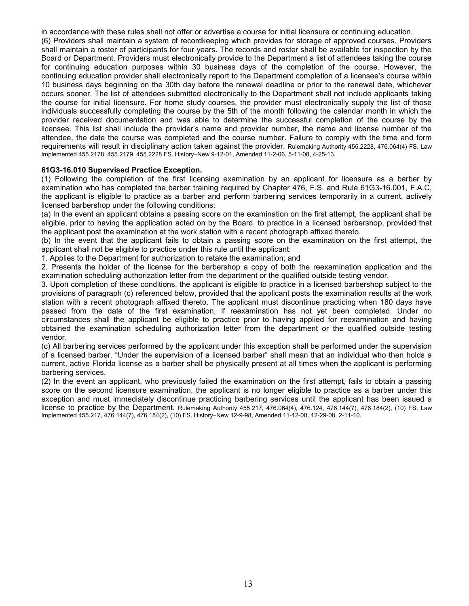in accordance with these rules shall not offer or advertise a course for initial licensure or continuing education.

(6) Providers shall maintain a system of recordkeeping which provides for storage of approved courses. Providers shall maintain a roster of participants for four years. The records and roster shall be available for inspection by the Board or Department. Providers must electronically provide to the Department a list of attendees taking the course for continuing education purposes within 30 business days of the completion of the course. However, the continuing education provider shall electronically report to the Department completion of a licensee's course within 10 business days beginning on the 30th day before the renewal deadline or prior to the renewal date, whichever occurs sooner. The list of attendees submitted electronically to the Department shall not include applicants taking the course for initial licensure. For home study courses, the provider must electronically supply the list of those individuals successfully completing the course by the 5th of the month following the calendar month in which the provider received documentation and was able to determine the successful completion of the course by the licensee. This list shall include the provider's name and provider number, the name and license number of the attendee, the date the course was completed and the course number. Failure to comply with the time and form requirements will result in disciplinary action taken against the provider. Rulemaking Authority 455.2228, 476.064(4) FS. Law Implemented 455.2178, 455.2179, 455.2228 FS. History–New 9-12-01, Amended 11-2-06, 5-11-08, 4-25-13.

## **[61G3-16.010](https://www.flrules.org/gateway/ruleNo.asp?id=61G3-16.010) Supervised Practice Exception.**

(1) Following the completion of the first licensing examination by an applicant for licensure as a barber by examination who has completed the barber training required by Chapter 476, F.S. and Rule 61G3-16.001, F.A.C, the applicant is eligible to practice as a barber and perform barbering services temporarily in a current, actively licensed barbershop under the following conditions:

(a) In the event an applicant obtains a passing score on the examination on the first attempt, the applicant shall be eligible, prior to having the application acted on by the Board, to practice in a licensed barbershop, provided that the applicant post the examination at the work station with a recent photograph affixed thereto.

(b) In the event that the applicant fails to obtain a passing score on the examination on the first attempt, the applicant shall not be eligible to practice under this rule until the applicant:

1. Applies to the Department for authorization to retake the examination; and

2. Presents the holder of the license for the barbershop a copy of both the reexamination application and the examination scheduling authorization letter from the department or the qualified outside testing vendor.

3. Upon completion of these conditions, the applicant is eligible to practice in a licensed barbershop subject to the provisions of paragraph (c) referenced below, provided that the applicant posts the examination results at the work station with a recent photograph affixed thereto. The applicant must discontinue practicing when 180 days have passed from the date of the first examination, if reexamination has not yet been completed. Under no circumstances shall the applicant be eligible to practice prior to having applied for reexamination and having obtained the examination scheduling authorization letter from the department or the qualified outside testing vendor.

(c) All barbering services performed by the applicant under this exception shall be performed under the supervision of a licensed barber. "Under the supervision of a licensed barber" shall mean that an individual who then holds a current, active Florida license as a barber shall be physically present at all times when the applicant is performing barbering services.

(2) In the event an applicant, who previously failed the examination on the first attempt, fails to obtain a passing score on the second licensure examination, the applicant is no longer eligible to practice as a barber under this exception and must immediately discontinue practicing barbering services until the applicant has been issued a license to practice by the Department. Rulemaking Authority 455.217, 476.064(4), 476.124, 476.144(7), 476.184(2), (10) FS. Law Implemented 455.217, 476.144(7), 476.184(2), (10) FS. History–New 12-9-98, Amended 11-12-00, 12-29-08, 2-11-10.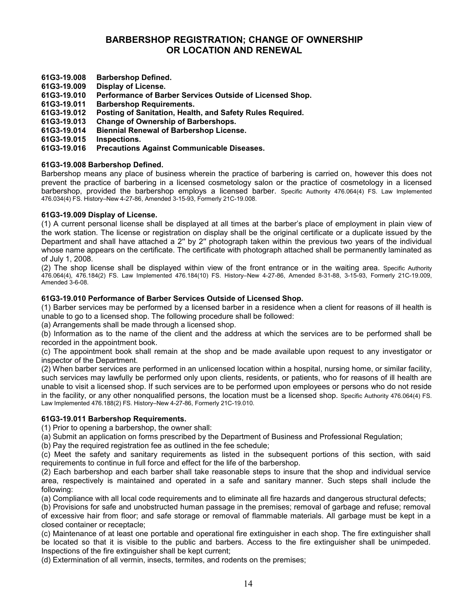# **BARBERSHOP REGISTRATION; CHANGE OF OWNERSHIP OR LOCATION AND RENEWAL**

- **61G3-19.008 Barbershop Defined.**
- **bisplay of License.**
- **61G3-19.010 Performance of Barber Services Outside of Licensed Shop.**
- **61G3-19.011 Barbershop Requirements.**
- **61G3-19.012 Posting of Sanitation, Health, and Safety Rules Required.**
- **61G3-19.013 Change of Ownership of Barbershops.**
- **61G3-19.014 Biennial Renewal of Barbershop License.**
- **61G3-19.015 Inspections.**

#### **61G3-19.016 Precautions Against Communicable Diseases.**

## **61G3-19.008 Barbershop Defined.**

Barbershop means any place of business wherein the practice of barbering is carried on, however this does not prevent the practice of barbering in a licensed cosmetology salon or the practice of cosmetology in a licensed barbershop, provided the barbershop employs a licensed barber. Specific Authority 476.064(4) FS. Law Implemented 476.034(4) FS. History–New 4-27-86, Amended 3-15-93, Formerly 21C-19.008.

## **[61G3-19.009](https://www.flrules.org/gateway/ruleNo.asp?id=61G3-19.009) Display of License.**

(1) A current personal license shall be displayed at all times at the barber's place of employment in plain view of the work station. The license or registration on display shall be the original certificate or a duplicate issued by the Department and shall have attached a 2′′ by 2′′ photograph taken within the previous two years of the individual whose name appears on the certificate. The certificate with photograph attached shall be permanently laminated as of July 1, 2008.

(2) The shop license shall be displayed within view of the front entrance or in the waiting area. Specific Authority 476.064(4), 476.184(2) FS. Law Implemented 476.184(10) FS. History–New 4-27-86, Amended 8-31-88, 3-15-93, Formerly 21C-19.009, Amended 3-6-08.

## **61G3-19.010 Performance of Barber Services Outside of Licensed Shop.**

(1) Barber services may be performed by a licensed barber in a residence when a client for reasons of ill health is unable to go to a licensed shop. The following procedure shall be followed:

(a) Arrangements shall be made through a licensed shop.

(b) Information as to the name of the client and the address at which the services are to be performed shall be recorded in the appointment book.

(c) The appointment book shall remain at the shop and be made available upon request to any investigator or inspector of the Department.

(2) When barber services are performed in an unlicensed location within a hospital, nursing home, or similar facility, such services may lawfully be performed only upon clients, residents, or patients, who for reasons of ill health are unable to visit a licensed shop. If such services are to be performed upon employees or persons who do not reside in the facility, or any other nonqualified persons, the location must be a licensed shop. Specific Authority 476.064(4) FS. Law Implemented 476.188(2) FS. History–New 4-27-86, Formerly 21C-19.010.

#### **61G3-19.011 Barbershop Requirements.**

(1) Prior to opening a barbershop, the owner shall:

(a) Submit an application on forms prescribed by the Department of Business and Professional Regulation;

(b) Pay the required registration fee as outlined in the fee schedule;

(c) Meet the safety and sanitary requirements as listed in the subsequent portions of this section, with said requirements to continue in full force and effect for the life of the barbershop.

(2) Each barbershop and each barber shall take reasonable steps to insure that the shop and individual service area, respectively is maintained and operated in a safe and sanitary manner. Such steps shall include the following:

(a) Compliance with all local code requirements and to eliminate all fire hazards and dangerous structural defects;

(b) Provisions for safe and unobstructed human passage in the premises; removal of garbage and refuse; removal of excessive hair from floor; and safe storage or removal of flammable materials. All garbage must be kept in a closed container or receptacle;

(c) Maintenance of at least one portable and operational fire extinguisher in each shop. The fire extinguisher shall be located so that it is visible to the public and barbers. Access to the fire extinguisher shall be unimpeded. Inspections of the fire extinguisher shall be kept current;

(d) Extermination of all vermin, insects, termites, and rodents on the premises;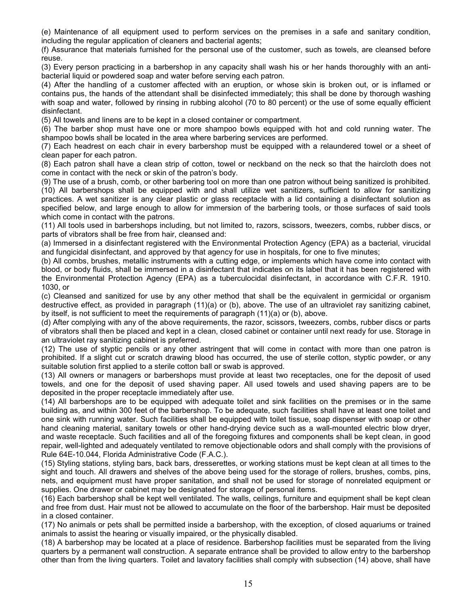(e) Maintenance of all equipment used to perform services on the premises in a safe and sanitary condition, including the regular application of cleaners and bacterial agents;

(f) Assurance that materials furnished for the personal use of the customer, such as towels, are cleansed before reuse.

(3) Every person practicing in a barbershop in any capacity shall wash his or her hands thoroughly with an antibacterial liquid or powdered soap and water before serving each patron.

(4) After the handling of a customer affected with an eruption, or whose skin is broken out, or is inflamed or contains pus, the hands of the attendant shall be disinfected immediately; this shall be done by thorough washing with soap and water, followed by rinsing in rubbing alcohol (70 to 80 percent) or the use of some equally efficient disinfectant.

(5) All towels and linens are to be kept in a closed container or compartment.

(6) The barber shop must have one or more shampoo bowls equipped with hot and cold running water. The shampoo bowls shall be located in the area where barbering services are performed.

(7) Each headrest on each chair in every barbershop must be equipped with a relaundered towel or a sheet of clean paper for each patron.

(8) Each patron shall have a clean strip of cotton, towel or neckband on the neck so that the haircloth does not come in contact with the neck or skin of the patron's body.

(9) The use of a brush, comb, or other barbering tool on more than one patron without being sanitized is prohibited. (10) All barbershops shall be equipped with and shall utilize wet sanitizers, sufficient to allow for sanitizing practices. A wet sanitizer is any clear plastic or glass receptacle with a lid containing a disinfectant solution as specified below, and large enough to allow for immersion of the barbering tools, or those surfaces of said tools which come in contact with the patrons.

(11) All tools used in barbershops including, but not limited to, razors, scissors, tweezers, combs, rubber discs, or parts of vibrators shall be free from hair, cleansed and:

(a) Immersed in a disinfectant registered with the Environmental Protection Agency (EPA) as a bacterial, virucidal and fungicidal disinfectant, and approved by that agency for use in hospitals, for one to five minutes;

(b) All combs, brushes, metallic instruments with a cutting edge, or implements which have come into contact with blood, or body fluids, shall be immersed in a disinfectant that indicates on its label that it has been registered with the Environmental Protection Agency (EPA) as a tuberculocidal disinfectant, in accordance with C.F.R. 1910. 1030, or

(c) Cleansed and sanitized for use by any other method that shall be the equivalent in germicidal or organism destructive effect, as provided in paragraph (11)(a) or (b), above. The use of an ultraviolet ray sanitizing cabinet, by itself, is not sufficient to meet the requirements of paragraph (11)(a) or (b), above.

(d) After complying with any of the above requirements, the razor, scissors, tweezers, combs, rubber discs or parts of vibrators shall then be placed and kept in a clean, closed cabinet or container until next ready for use. Storage in an ultraviolet ray sanitizing cabinet is preferred.

(12) The use of styptic pencils or any other astringent that will come in contact with more than one patron is prohibited. If a slight cut or scratch drawing blood has occurred, the use of sterile cotton, styptic powder, or any suitable solution first applied to a sterile cotton ball or swab is approved.

(13) All owners or managers or barbershops must provide at least two receptacles, one for the deposit of used towels, and one for the deposit of used shaving paper. All used towels and used shaving papers are to be deposited in the proper receptacle immediately after use.

(14) All barbershops are to be equipped with adequate toilet and sink facilities on the premises or in the same building as, and within 300 feet of the barbershop. To be adequate, such facilities shall have at least one toilet and one sink with running water. Such facilities shall be equipped with toilet tissue, soap dispenser with soap or other hand cleaning material, sanitary towels or other hand-drying device such as a wall-mounted electric blow dryer, and waste receptacle. Such facilities and all of the foregoing fixtures and components shall be kept clean, in good repair, well-lighted and adequately ventilated to remove objectionable odors and shall comply with the provisions of Rule 64E-10.044, Florida Administrative Code (F.A.C.).

(15) Styling stations, styling bars, back bars, dresserettes, or working stations must be kept clean at all times to the sight and touch. All drawers and shelves of the above being used for the storage of rollers, brushes, combs, pins, nets, and equipment must have proper sanitation, and shall not be used for storage of nonrelated equipment or supplies. One drawer or cabinet may be designated for storage of personal items.

(16) Each barbershop shall be kept well ventilated. The walls, ceilings, furniture and equipment shall be kept clean and free from dust. Hair must not be allowed to accumulate on the floor of the barbershop. Hair must be deposited in a closed container.

(17) No animals or pets shall be permitted inside a barbershop, with the exception, of closed aquariums or trained animals to assist the hearing or visually impaired, or the physically disabled.

(18) A barbershop may be located at a place of residence. Barbershop facilities must be separated from the living quarters by a permanent wall construction. A separate entrance shall be provided to allow entry to the barbershop other than from the living quarters. Toilet and lavatory facilities shall comply with subsection (14) above, shall have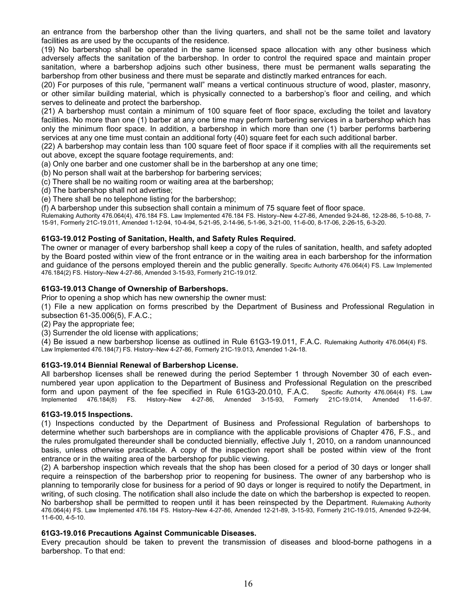an entrance from the barbershop other than the living quarters, and shall not be the same toilet and lavatory facilities as are used by the occupants of the residence.

(19) No barbershop shall be operated in the same licensed space allocation with any other business which adversely affects the sanitation of the barbershop. In order to control the required space and maintain proper sanitation, where a barbershop adjoins such other business, there must be permanent walls separating the barbershop from other business and there must be separate and distinctly marked entrances for each.

(20) For purposes of this rule, "permanent wall" means a vertical continuous structure of wood, plaster, masonry, or other similar building material, which is physically connected to a barbershop's floor and ceiling, and which serves to delineate and protect the barbershop.

(21) A barbershop must contain a minimum of 100 square feet of floor space, excluding the toilet and lavatory facilities. No more than one (1) barber at any one time may perform barbering services in a barbershop which has only the minimum floor space. In addition, a barbershop in which more than one (1) barber performs barbering services at any one time must contain an additional forty (40) square feet for each such additional barber.

(22) A barbershop may contain less than 100 square feet of floor space if it complies with all the requirements set out above, except the square footage requirements, and:

(a) Only one barber and one customer shall be in the barbershop at any one time;

(b) No person shall wait at the barbershop for barbering services;

(c) There shall be no waiting room or waiting area at the barbershop;

(d) The barbershop shall not advertise;

(e) There shall be no telephone listing for the barbershop;

(f) A barbershop under this subsection shall contain a minimum of 75 square feet of floor space.

Rulemaking Authority 476.064(4), 476.184 FS. Law Implemented 476.184 FS. History–New 4-27-86, Amended 9-24-86, 12-28-86, 5-10-88, 7- 15-91, Formerly 21C-19.011, Amended 1-12-94, 10-4-94, 5-21-95, 2-14-96, 5-1-96, 3-21-00, 11-6-00, 8-17-06, 2-26-15, 6-3-20.

#### **61G3-19.012 Posting of Sanitation, Health, and Safety Rules Required.**

The owner or manager of every barbershop shall keep a copy of the rules of sanitation, health, and safety adopted by the Board posted within view of the front entrance or in the waiting area in each barbershop for the information and guidance of the persons employed therein and the public generally. Specific Authority 476.064(4) FS. Law Implemented 476.184(2) FS. History–New 4-27-86, Amended 3-15-93, Formerly 21C-19.012.

## **61G3-19.013 Change of Ownership of Barbershops.**

Prior to opening a shop which has new ownership the owner must:

(1) File a new application on forms prescribed by the Department of Business and Professional Regulation in subsection 61-35.006(5), F.A.C.;

(2) Pay the appropriate fee;

(3) Surrender the old license with applications;

(4) Be issued a new barbershop license as outlined in Rule 61G3-19.011, F.A.C. Rulemaking Authority 476.064(4) FS. Law Implemented 476.184(7) FS. History–New 4-27-86, Formerly 21C-19.013, Amended 1-24-18.

#### **61G3-19.014 Biennial Renewal of Barbershop License.**

All barbershop licenses shall be renewed during the period September 1 through November 30 of each evennumbered year upon application to the Department of Business and Professional Regulation on the prescribed form and upon payment of the fee specified in Rule 61G3-20.010, F.A.C. Specific Authority 476.064(4) FS. Law<br>Implemented 476.184(8) FS. History–New 4-27-86, Amended 3-15-93, Formerly 21C-19.014, Amended 11-6-97. Amended 3-15-93, Formerly

#### **[61G3-19.015](https://www.flrules.org/gateway/ruleNo.asp?id=61G3-19.015) Inspections.**

(1) Inspections conducted by the Department of Business and Professional Regulation of barbershops to determine whether such barbershops are in compliance with the applicable provisions of Chapter 476, F.S., and the rules promulgated thereunder shall be conducted biennially, effective July 1, 2010, on a random unannounced basis, unless otherwise practicable. A copy of the inspection report shall be posted within view of the front entrance or in the waiting area of the barbershop for public viewing.

(2) A barbershop inspection which reveals that the shop has been closed for a period of 30 days or longer shall require a reinspection of the barbershop prior to reopening for business. The owner of any barbershop who is planning to temporarily close for business for a period of 90 days or longer is required to notify the Department, in writing, of such closing. The notification shall also include the date on which the barbershop is expected to reopen. No barbershop shall be permitted to reopen until it has been reinspected by the Department. Rulemaking Authority 476.064(4) FS. Law Implemented 476.184 FS. History–New 4-27-86, Amended 12-21-89, 3-15-93, Formerly 21C-19.015, Amended 9-22-94, 11-6-00, 4-5-10.

#### **61G3-19.016 Precautions Against Communicable Diseases.**

Every precaution should be taken to prevent the transmission of diseases and blood-borne pathogens in a barbershop. To that end: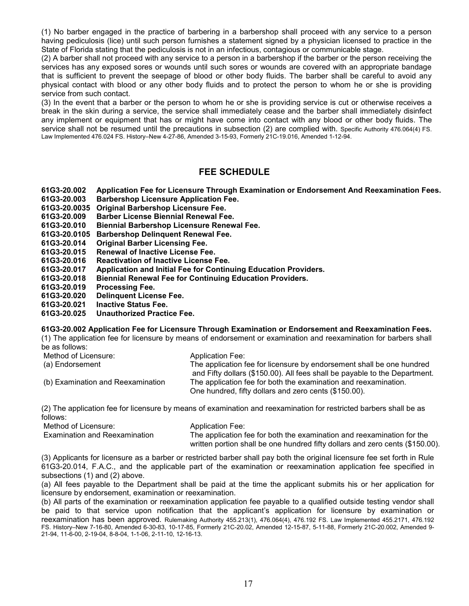(1) No barber engaged in the practice of barbering in a barbershop shall proceed with any service to a person having pediculosis (lice) until such person furnishes a statement signed by a physician licensed to practice in the State of Florida stating that the pediculosis is not in an infectious, contagious or communicable stage.

(2) A barber shall not proceed with any service to a person in a barbershop if the barber or the person receiving the services has any exposed sores or wounds until such sores or wounds are covered with an appropriate bandage that is sufficient to prevent the seepage of blood or other body fluids. The barber shall be careful to avoid any physical contact with blood or any other body fluids and to protect the person to whom he or she is providing service from such contact.

(3) In the event that a barber or the person to whom he or she is providing service is cut or otherwise receives a break in the skin during a service, the service shall immediately cease and the barber shall immediately disinfect any implement or equipment that has or might have come into contact with any blood or other body fluids. The service shall not be resumed until the precautions in subsection (2) are complied with. Specific Authority 476.064(4) FS. Law Implemented 476.024 FS. History–New 4-27-86, Amended 3-15-93, Formerly 21C-19.016, Amended 1-12-94.

# **FEE SCHEDULE**

**61G3-20.002 Application Fee for Licensure Through Examination or Endorsement And Reexamination Fees.**

- **61G3-20.003 Barbershop Licensure Application Fee.**
- **61G3-20.0035 Original Barbershop Licensure Fee.**
- **61G3-20.009 Barber License Biennial Renewal Fee.**
- **61G3-20.010 Biennial Barbershop Licensure Renewal Fee.**
- **61G3-20.0105 Barbershop Delinquent Renewal Fee.**
- **61G3-20.014 Original Barber Licensing Fee.**
- **61G3-20.015 Renewal of Inactive License Fee.**
- 
- **61G3-20.016 Reactivation of Inactive License Fee. 61G3-20.017 Application and Initial Fee for Continuing Education Providers.**
- **61G3-20.018 Biennial Renewal Fee for Continuing Education Providers.**
- **61G3-20.019 Processing Fee.**
- **61G3-20.020 Delinquent License Fee.**
- **61G3-20.021 Inactive Status Fee.**
- **61G3-20.025 Unauthorized Practice Fee.**

**61G3-20.002 Application Fee for Licensure Through Examination or Endorsement and Reexamination Fees.**

(1) The application fee for licensure by means of endorsement or examination and reexamination for barbers shall be as follows:

| Method of Licensure:              | <b>Application Fee:</b>                                                    |
|-----------------------------------|----------------------------------------------------------------------------|
| (a) Endorsement                   | The application fee for licensure by endorsement shall be one hundred      |
|                                   | and Fifty dollars (\$150.00). All fees shall be payable to the Department. |
| (b) Examination and Reexamination | The application fee for both the examination and reexamination.            |
|                                   | One hundred, fifty dollars and zero cents (\$150.00).                      |

(2) The application fee for licensure by means of examination and reexamination for restricted barbers shall be as follows:

| Method of Licensure:          | <b>Application Fee:</b>                                                       |
|-------------------------------|-------------------------------------------------------------------------------|
| Examination and Reexamination | The application fee for both the examination and reexamination for the        |
|                               | written portion shall be one hundred fifty dollars and zero cents (\$150.00). |

(3) Applicants for licensure as a barber or restricted barber shall pay both the original licensure fee set forth in Rule 61G3-20.014, F.A.C., and the applicable part of the examination or reexamination application fee specified in subsections (1) and (2) above.

(a) All fees payable to the Department shall be paid at the time the applicant submits his or her application for licensure by endorsement, examination or reexamination.

(b) All parts of the examination or reexamination application fee payable to a qualified outside testing vendor shall be paid to that service upon notification that the applicant's application for licensure by examination or reexamination has been approved. Rulemaking Authority 455.213(1), 476.064(4), 476.192 FS. Law Implemented 455.2171, 476.192 FS. History–New 7-16-80, Amended 6-30-83, 10-17-85, Formerly 21C-20.02, Amended 12-15-87, 5-11-88, Formerly 21C-20.002, Amended 9- 21-94, 11-6-00, 2-19-04, 8-8-04, 1-1-06, 2-11-10, 12-16-13.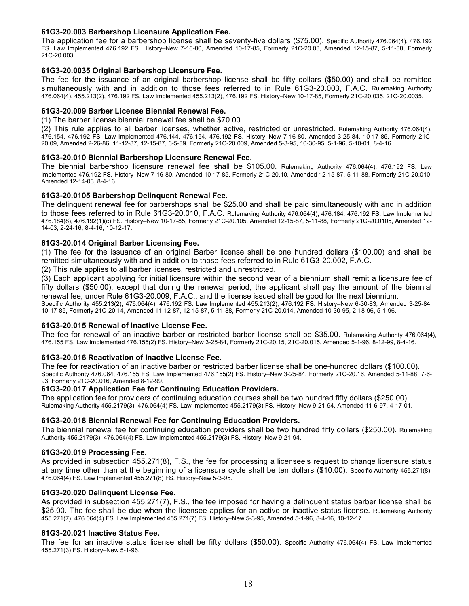## **61G3-20.003 Barbershop Licensure Application Fee.**

The application fee for a barbershop license shall be seventy-five dollars (\$75.00). Specific Authority 476.064(4), 476.192 FS. Law Implemented 476.192 FS. History–New 7-16-80, Amended 10-17-85, Formerly 21C-20.03, Amended 12-15-87, 5-11-88, Formerly 21C-20.003.

#### **61G3-20.0035 Original Barbershop Licensure Fee.**

The fee for the issuance of an original barbershop license shall be fifty dollars (\$50.00) and shall be remitted simultaneously with and in addition to those fees referred to in Rule 61G3-20.003, F.A.C. Rulemaking Authority 476.064(4), 455.213(2), 476.192 FS. Law Implemented 455.213(2), 476.192 FS. History–New 10-17-85, Formerly 21C-20.035, 21C-20.0035.

### **61G3-20.009 Barber License Biennial Renewal Fee.**

(1) The barber license biennial renewal fee shall be \$70.00.

(2) This rule applies to all barber licenses, whether active, restricted or unrestricted. Rulemaking Authority 476.064(4), 476.154, 476.192 FS. Law Implemented 476.144, 476.154, 476.192 FS. History–New 7-16-80, Amended 3-25-84, 10-17-85, Formerly 21C-20.09, Amended 2-26-86, 11-12-87, 12-15-87, 6-5-89, Formerly 21C-20.009, Amended 5-3-95, 10-30-95, 5-1-96, 5-10-01, 8-4-16.

#### **61G3-20.010 Biennial Barbershop Licensure Renewal Fee.**

The biennial barbershop licensure renewal fee shall be \$105.00. Rulemaking Authority 476.064(4), 476.192 FS. Law Implemented 476.192 FS. History–New 7-16-80, Amended 10-17-85, Formerly 21C-20.10, Amended 12-15-87, 5-11-88, Formerly 21C-20.010, Amended 12-14-03, 8-4-16.

## **61G3-20.0105 Barbershop Delinquent Renewal Fee.**

The delinquent renewal fee for barbershops shall be \$25.00 and shall be paid simultaneously with and in addition to those fees referred to in Rule 61G3-20.010, F.A.C. Rulemaking Authority 476.064(4), 476.184, 476.192 FS. Law Implemented 476.184(8), 476.192(1)(c) FS. History–New 10-17-85, Formerly 21C-20.105, Amended 12-15-87, 5-11-88, Formerly 21C-20.0105, Amended 12- 14-03, 2-24-16, 8-4-16, 10-12-17.

## **61G3-20.014 Original Barber Licensing Fee.**

(1) The fee for the issuance of an original Barber license shall be one hundred dollars (\$100.00) and shall be remitted simultaneously with and in addition to those fees referred to in Rule 61G3-20.002, F.A.C.

(2) This rule applies to all barber licenses, restricted and unrestricted.

(3) Each applicant applying for initial licensure within the second year of a biennium shall remit a licensure fee of fifty dollars (\$50.00), except that during the renewal period, the applicant shall pay the amount of the biennial renewal fee, under Rule 61G3-20.009, F.A.C., and the license issued shall be good for the next biennium. Specific Authority 455.213(2), 476.064(4), 476.192 FS. Law Implemented 455.213(2), 476.192 FS. History–New 6-30-83, Amended 3-25-84,

10-17-85, Formerly 21C-20.14, Amended 11-12-87, 12-15-87, 5-11-88, Formerly 21C-20.014, Amended 10-30-95, 2-18-96, 5-1-96.

#### **61G3-20.015 Renewal of Inactive License Fee.**

The fee for renewal of an inactive barber or restricted barber license shall be \$35.00. Rulemaking Authority 476.064(4), 476.155 FS. Law Implemented 476.155(2) FS. History–New 3-25-84, Formerly 21C-20.15, 21C-20.015, Amended 5-1-96, 8-12-99, 8-4-16.

#### **61G3-20.016 Reactivation of Inactive License Fee.**

The fee for reactivation of an inactive barber or restricted barber license shall be one-hundred dollars (\$100.00). Specific Authority 476.064, 476.155 FS. Law Implemented 476.155(2) FS. History–New 3-25-84, Formerly 21C-20.16, Amended 5-11-88, 7-6- 93, Formerly 21C-20.016, Amended 8-12-99.

#### **61G3-20.017 Application Fee for Continuing Education Providers.**

The application fee for providers of continuing education courses shall be two hundred fifty dollars (\$250.00). Rulemaking Authority 455.2179(3), 476.064(4) FS. Law Implemented 455.2179(3) FS. History–New 9-21-94, Amended 11-6-97, 4-17-01.

#### **61G3-20.018 Biennial Renewal Fee for Continuing Education Providers.**

The biennial renewal fee for continuing education providers shall be two hundred fifty dollars (\$250.00). Rulemaking Authority 455.2179(3), 476.064(4) FS. Law Implemented 455.2179(3) FS. History–New 9-21-94.

#### **61G3-20.019 Processing Fee.**

As provided in subsection 455.271(8), F.S., the fee for processing a licensee's request to change licensure status at any time other than at the beginning of a licensure cycle shall be ten dollars (\$10.00). Specific Authority 455.271(8), 476.064(4) FS. Law Implemented 455.271(8) FS. History–New 5-3-95.

#### **61G3-20.020 Delinquent License Fee.**

As provided in subsection 455.271(7), F.S., the fee imposed for having a delinquent status barber license shall be \$25.00. The fee shall be due when the licensee applies for an active or inactive status license. Rulemaking Authority 455.271(7), 476.064(4) FS. Law Implemented 455.271(7) FS. History–New 5-3-95, Amended 5-1-96, 8-4-16, 10-12-17.

#### **61G3-20.021 Inactive Status Fee.**

The fee for an inactive status license shall be fifty dollars (\$50.00). Specific Authority 476.064(4) FS. Law Implemented 455.271(3) FS. History–New 5-1-96.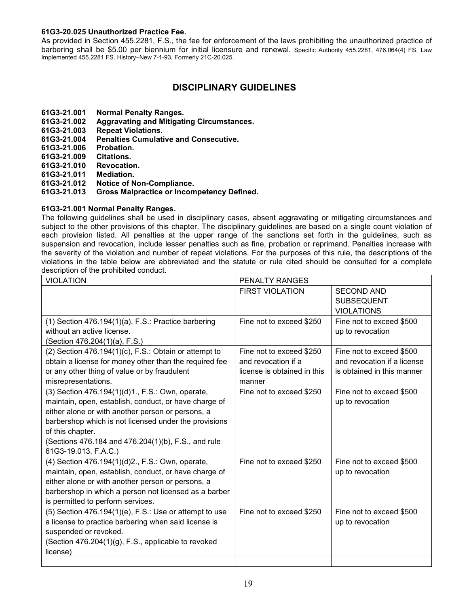#### **61G3-20.025 Unauthorized Practice Fee.**

As provided in Section 455.2281, F.S., the fee for enforcement of the laws prohibiting the unauthorized practice of barbering shall be \$5.00 per biennium for initial licensure and renewal. Specific Authority 455.2281, 476.064(4) FS. Law Implemented 455.2281 FS. History–New 7-1-93, Formerly 21C-20.025.

# **DISCIPLINARY GUIDELINES**

- **61G3-21.001 Normal Penalty Ranges.**
- **61G3-21.002 Aggravating and Mitigating Circumstances.**
- **61G3-21.003 Repeat Violations.**
- **Penalties Cumulative and Consecutive.**
- **61G3-21.006 Probation.**
- **61G3-21.009 Citations.**
- **61G3-21.010 Revocation.**
- **61G3-21.011 Mediation.**
- **61G3-21.012 Notice of Non-Compliance.**
- **61G3-21.013 Gross Malpractice or Incompetency Defined.**

## **[61G3-21.001](https://www.flrules.org/gateway/ruleNo.asp?id=61G3-21.001) Normal Penalty Ranges.**

The following guidelines shall be used in disciplinary cases, absent aggravating or mitigating circumstances and subject to the other provisions of this chapter. The disciplinary guidelines are based on a single count violation of each provision listed. All penalties at the upper range of the sanctions set forth in the guidelines, such as suspension and revocation, include lesser penalties such as fine, probation or reprimand. Penalties increase with the severity of the violation and number of repeat violations. For the purposes of this rule, the descriptions of the violations in the table below are abbreviated and the statute or rule cited should be consulted for a complete description of the prohibited conduct.

| <b>VIOLATION</b>                                             | PENALTY RANGES              |                             |
|--------------------------------------------------------------|-----------------------------|-----------------------------|
|                                                              | <b>FIRST VIOLATION</b>      | <b>SECOND AND</b>           |
|                                                              |                             | <b>SUBSEQUENT</b>           |
|                                                              |                             | <b>VIOLATIONS</b>           |
| $(1)$ Section 476.194 $(1)(a)$ , F.S.: Practice barbering    | Fine not to exceed \$250    | Fine not to exceed \$500    |
| without an active license.                                   |                             | up to revocation            |
| (Section 476.204(1)(a), F.S.)                                |                             |                             |
| $(2)$ Section 476.194 $(1)(c)$ , F.S.: Obtain or attempt to  | Fine not to exceed \$250    | Fine not to exceed \$500    |
| obtain a license for money other than the required fee       | and revocation if a         | and revocation if a license |
| or any other thing of value or by fraudulent                 | license is obtained in this | is obtained in this manner  |
| misrepresentations.                                          | manner                      |                             |
| (3) Section 476.194(1)(d)1., F.S.: Own, operate,             | Fine not to exceed \$250    | Fine not to exceed \$500    |
| maintain, open, establish, conduct, or have charge of        |                             | up to revocation            |
| either alone or with another person or persons, a            |                             |                             |
| barbershop which is not licensed under the provisions        |                             |                             |
| of this chapter.                                             |                             |                             |
| (Sections 476.184 and 476.204(1)(b), F.S., and rule          |                             |                             |
| 61G3-19.013, F.A.C.)                                         |                             |                             |
| (4) Section 476.194(1)(d)2., F.S.: Own, operate,             | Fine not to exceed \$250    | Fine not to exceed \$500    |
| maintain, open, establish, conduct, or have charge of        |                             | up to revocation            |
| either alone or with another person or persons, a            |                             |                             |
| barbershop in which a person not licensed as a barber        |                             |                             |
| is permitted to perform services.                            |                             |                             |
| $(5)$ Section 476.194 $(1)(e)$ , F.S.: Use or attempt to use | Fine not to exceed \$250    | Fine not to exceed \$500    |
| a license to practice barbering when said license is         |                             | up to revocation            |
| suspended or revoked.                                        |                             |                             |
| (Section 476.204(1)(g), F.S., applicable to revoked          |                             |                             |
| license)                                                     |                             |                             |
|                                                              |                             |                             |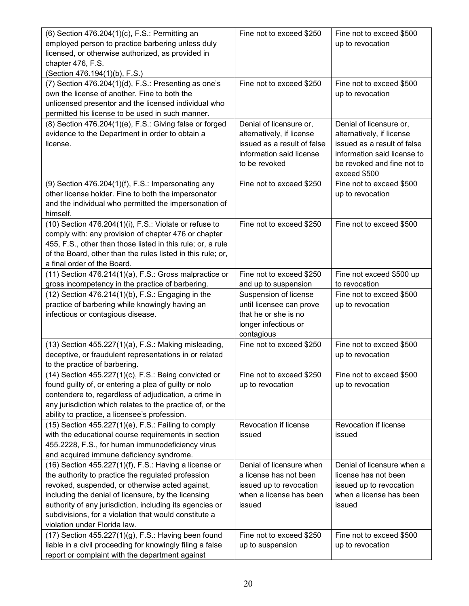| (6) Section 476.204(1)(c), F.S.: Permitting an<br>employed person to practice barbering unless duly<br>licensed, or otherwise authorized, as provided in<br>chapter 476, F.S.<br>(Section 476.194(1)(b), F.S.)                                                                                                                                                                   | Fine not to exceed \$250                                                                                                                | Fine not to exceed \$500<br>up to revocation                                                                                                                     |
|----------------------------------------------------------------------------------------------------------------------------------------------------------------------------------------------------------------------------------------------------------------------------------------------------------------------------------------------------------------------------------|-----------------------------------------------------------------------------------------------------------------------------------------|------------------------------------------------------------------------------------------------------------------------------------------------------------------|
| (7) Section 476.204(1)(d), F.S.: Presenting as one's<br>own the license of another. Fine to both the<br>unlicensed presentor and the licensed individual who<br>permitted his license to be used in such manner.                                                                                                                                                                 | Fine not to exceed \$250                                                                                                                | Fine not to exceed \$500<br>up to revocation                                                                                                                     |
| (8) Section 476.204(1)(e), F.S.: Giving false or forged<br>evidence to the Department in order to obtain a<br>license.                                                                                                                                                                                                                                                           | Denial of licensure or,<br>alternatively, if license<br>issued as a result of false<br>information said license<br>to be revoked        | Denial of licensure or,<br>alternatively, if license<br>issued as a result of false<br>information said license to<br>be revoked and fine not to<br>exceed \$500 |
| $(9)$ Section 476.204 $(1)(f)$ , F.S.: Impersonating any<br>other license holder. Fine to both the impersonator<br>and the individual who permitted the impersonation of<br>himself.                                                                                                                                                                                             | Fine not to exceed \$250                                                                                                                | Fine not to exceed \$500<br>up to revocation                                                                                                                     |
| (10) Section 476.204(1)(i), F.S.: Violate or refuse to<br>comply with: any provision of chapter 476 or chapter<br>455, F.S., other than those listed in this rule; or, a rule<br>of the Board, other than the rules listed in this rule; or,<br>a final order of the Board.                                                                                                      | Fine not to exceed \$250                                                                                                                | Fine not to exceed \$500                                                                                                                                         |
| $(11)$ Section 476.214 $(1)(a)$ , F.S.: Gross malpractice or                                                                                                                                                                                                                                                                                                                     | Fine not to exceed \$250                                                                                                                | Fine not exceed \$500 up<br>to revocation                                                                                                                        |
| gross incompetency in the practice of barbering.<br>(12) Section 476.214(1)(b), F.S.: Engaging in the<br>practice of barbering while knowingly having an<br>infectious or contagious disease.                                                                                                                                                                                    | and up to suspension<br>Suspension of license<br>until licensee can prove<br>that he or she is no<br>longer infectious or<br>contagious | Fine not to exceed \$500<br>up to revocation                                                                                                                     |
| $(13)$ Section 455.227 $(1)(a)$ , F.S.: Making misleading,<br>deceptive, or fraudulent representations in or related<br>to the practice of barbering.                                                                                                                                                                                                                            | Fine not to exceed \$250                                                                                                                | Fine not to exceed \$500<br>up to revocation                                                                                                                     |
| $(14)$ Section 455.227 $(1)(c)$ , F.S.: Being convicted or<br>found guilty of, or entering a plea of guilty or nolo<br>contendere to, regardless of adjudication, a crime in<br>any jurisdiction which relates to the practice of, or the<br>ability to practice, a licensee's profession.                                                                                       | Fine not to exceed \$250<br>up to revocation                                                                                            | Fine not to exceed \$500<br>up to revocation                                                                                                                     |
| $(15)$ Section 455.227 $(1)(e)$ , F.S.: Failing to comply<br>with the educational course requirements in section<br>455.2228, F.S., for human immunodeficiency virus<br>and acquired immune deficiency syndrome.                                                                                                                                                                 | Revocation if license<br>issued                                                                                                         | Revocation if license<br>issued                                                                                                                                  |
| $(16)$ Section 455.227 $(1)(f)$ , F.S.: Having a license or<br>the authority to practice the regulated profession<br>revoked, suspended, or otherwise acted against,<br>including the denial of licensure, by the licensing<br>authority of any jurisdiction, including its agencies or<br>subdivisions, for a violation that would constitute a<br>violation under Florida law. | Denial of licensure when<br>a license has not been<br>issued up to revocation<br>when a license has been<br>issued                      | Denial of licensure when a<br>license has not been<br>issued up to revocation<br>when a license has been<br>issued                                               |
| $(17)$ Section 455.227 $(1)(g)$ , F.S.: Having been found<br>liable in a civil proceeding for knowingly filing a false<br>report or complaint with the department against                                                                                                                                                                                                        | Fine not to exceed \$250<br>up to suspension                                                                                            | Fine not to exceed \$500<br>up to revocation                                                                                                                     |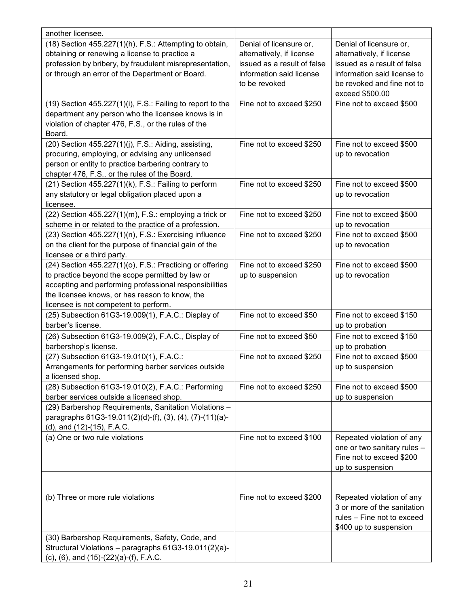| another licensee.                                                                                                                                                                                                                                                 |                                                                                                                                  |                                                                                                                                                                     |
|-------------------------------------------------------------------------------------------------------------------------------------------------------------------------------------------------------------------------------------------------------------------|----------------------------------------------------------------------------------------------------------------------------------|---------------------------------------------------------------------------------------------------------------------------------------------------------------------|
| (18) Section 455.227(1)(h), F.S.: Attempting to obtain,<br>obtaining or renewing a license to practice a<br>profession by bribery, by fraudulent misrepresentation,<br>or through an error of the Department or Board.                                            | Denial of licensure or,<br>alternatively, if license<br>issued as a result of false<br>information said license<br>to be revoked | Denial of licensure or,<br>alternatively, if license<br>issued as a result of false<br>information said license to<br>be revoked and fine not to<br>exceed \$500.00 |
| $(19)$ Section 455.227 $(1)(i)$ , F.S.: Failing to report to the<br>department any person who the licensee knows is in<br>violation of chapter 476, F.S., or the rules of the<br>Board.                                                                           | Fine not to exceed \$250                                                                                                         | Fine not to exceed \$500                                                                                                                                            |
| (20) Section 455.227(1)(j), F.S.: Aiding, assisting,<br>procuring, employing, or advising any unlicensed<br>person or entity to practice barbering contrary to<br>chapter 476, F.S., or the rules of the Board.                                                   | Fine not to exceed \$250                                                                                                         | Fine not to exceed \$500<br>up to revocation                                                                                                                        |
| $(21)$ Section 455.227 $(1)(k)$ , F.S.: Failing to perform<br>any statutory or legal obligation placed upon a<br>licensee.                                                                                                                                        | Fine not to exceed \$250                                                                                                         | Fine not to exceed \$500<br>up to revocation                                                                                                                        |
| $(22)$ Section 455.227 $(1)(m)$ , F.S.: employing a trick or<br>scheme in or related to the practice of a profession.                                                                                                                                             | Fine not to exceed \$250                                                                                                         | Fine not to exceed \$500<br>up to revocation                                                                                                                        |
| (23) Section 455.227(1)(n), F.S.: Exercising influence<br>on the client for the purpose of financial gain of the<br>licensee or a third party.                                                                                                                    | Fine not to exceed \$250                                                                                                         | Fine not to exceed \$500<br>up to revocation                                                                                                                        |
| (24) Section 455.227(1)(o), F.S.: Practicing or offering<br>to practice beyond the scope permitted by law or<br>accepting and performing professional responsibilities<br>the licensee knows, or has reason to know, the<br>licensee is not competent to perform. | Fine not to exceed \$250<br>up to suspension                                                                                     | Fine not to exceed \$500<br>up to revocation                                                                                                                        |
| (25) Subsection 61G3-19.009(1), F.A.C.: Display of<br>barber's license.                                                                                                                                                                                           | Fine not to exceed \$50                                                                                                          | Fine not to exceed \$150<br>up to probation                                                                                                                         |
| (26) Subsection 61G3-19.009(2), F.A.C., Display of<br>barbershop's license.                                                                                                                                                                                       | Fine not to exceed \$50                                                                                                          | Fine not to exceed \$150<br>up to probation                                                                                                                         |
| (27) Subsection 61G3-19.010(1), F.A.C.:<br>Arrangements for performing barber services outside<br>a licensed shop.                                                                                                                                                | Fine not to exceed \$250                                                                                                         | Fine not to exceed \$500<br>up to suspension                                                                                                                        |
| (28) Subsection 61G3-19.010(2), F.A.C.: Performing<br>barber services outside a licensed shop.                                                                                                                                                                    | Fine not to exceed \$250                                                                                                         | Fine not to exceed \$500<br>up to suspension                                                                                                                        |
| (29) Barbershop Requirements, Sanitation Violations -<br>paragraphs 61G3-19.011(2)(d)-(f), (3), (4), (7)-(11)(a)-<br>(d), and (12)-(15), F.A.C.                                                                                                                   |                                                                                                                                  |                                                                                                                                                                     |
| (a) One or two rule violations                                                                                                                                                                                                                                    | Fine not to exceed \$100                                                                                                         | Repeated violation of any<br>one or two sanitary rules -<br>Fine not to exceed \$200<br>up to suspension                                                            |
| (b) Three or more rule violations                                                                                                                                                                                                                                 | Fine not to exceed \$200                                                                                                         | Repeated violation of any<br>3 or more of the sanitation<br>rules - Fine not to exceed<br>\$400 up to suspension                                                    |
| (30) Barbershop Requirements, Safety, Code, and<br>Structural Violations - paragraphs 61G3-19.011(2)(a)-<br>(c), (6), and (15)-(22)(a)-(f), F.A.C.                                                                                                                |                                                                                                                                  |                                                                                                                                                                     |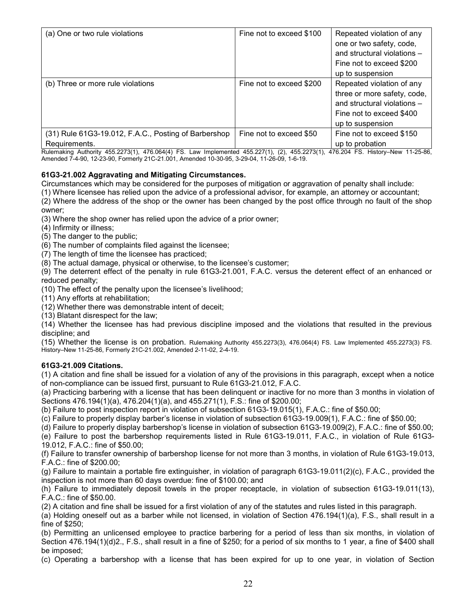| (a) One or two rule violations                                        | Fine not to exceed \$100 | Repeated violation of any<br>one or two safety, code,<br>and structural violations -<br>Fine not to exceed \$200<br>up to suspension    |
|-----------------------------------------------------------------------|--------------------------|-----------------------------------------------------------------------------------------------------------------------------------------|
| (b) Three or more rule violations                                     | Fine not to exceed \$200 | Repeated violation of any<br>three or more safety, code,<br>and structural violations -<br>Fine not to exceed \$400<br>up to suspension |
| (31) Rule 61G3-19.012, F.A.C., Posting of Barbershop<br>Requirements. | Fine not to exceed \$50  | Fine not to exceed \$150<br>up to probation                                                                                             |

Rulemaking Authority 455.2273(1), 476.064(4) FS. Law Implemented 455.227(1), (2), 455.2273(1), 476.204 FS. History–New 11-25-86, Amended 7-4-90, 12-23-90, Formerly 21C-21.001, Amended 10-30-95, 3-29-04, 11-26-09, 1-6-19.

# **61G3-21.002 Aggravating and Mitigating Circumstances.**

Circumstances which may be considered for the purposes of mitigation or aggravation of penalty shall include:

(1) Where licensee has relied upon the advice of a professional advisor, for example, an attorney or accountant;

(2) Where the address of the shop or the owner has been changed by the post office through no fault of the shop owner;

(3) Where the shop owner has relied upon the advice of a prior owner;

(4) Infirmity or illness;

(5) The danger to the public;

(6) The number of complaints filed against the licensee;

(7) The length of time the licensee has practiced;

(8) The actual damage, physical or otherwise, to the licensee's customer;

(9) The deterrent effect of the penalty in rule 61G3-21.001, F.A.C. versus the deterent effect of an enhanced or reduced penalty;

(10) The effect of the penalty upon the licensee's livelihood;

(11) Any efforts at rehabilitation;

(12) Whether there was demonstrable intent of deceit;

(13) Blatant disrespect for the law;

(14) Whether the licensee has had previous discipline imposed and the violations that resulted in the previous discipline; and

(15) Whether the license is on probation. Rulemaking Authority 455.2273(3), 476.064(4) FS. Law Implemented 455.2273(3) FS. History–New 11-25-86, Formerly 21C-21.002, Amended 2-11-02, 2-4-19.

#### **61G3-21.009 Citations.**

(1) A citation and fine shall be issued for a violation of any of the provisions in this paragraph, except when a notice of non-compliance can be issued first, pursuant to Rule 61G3-21.012, F.A.C.

(a) Practicing barbering with a license that has been delinquent or inactive for no more than 3 months in violation of Sections 476.194(1)(a), 476.204(1)(a), and 455.271(1), F.S.: fine of \$200.00;

(b) Failure to post inspection report in violation of subsection 61G3-19.015(1), F.A.C.: fine of \$50.00;

(c) Failure to properly display barber's license in violation of subsection 61G3-19.009(1), F.A.C.: fine of \$50.00;

(d) Failure to properly display barbershop's license in violation of subsection 61G3-19.009(2), F.A.C.: fine of \$50.00;

(e) Failure to post the barbershop requirements listed in Rule 61G3-19.011, F.A.C., in violation of Rule 61G3- 19.012, F.A.C.: fine of \$50.00;

(f) Failure to transfer ownership of barbershop license for not more than 3 months, in violation of Rule 61G3-19.013, F.A.C.: fine of \$200.00;

(g) Failure to maintain a portable fire extinguisher, in violation of paragraph 61G3-19.011(2)(c), F.A.C., provided the inspection is not more than 60 days overdue: fine of \$100.00; and

(h) Failure to immediately deposit towels in the proper receptacle, in violation of subsection 61G3-19.011(13), F.A.C.: fine of \$50.00.

(2) A citation and fine shall be issued for a first violation of any of the statutes and rules listed in this paragraph.

(a) Holding oneself out as a barber while not licensed, in violation of Section 476.194(1)(a), F.S., shall result in a fine of \$250;

(b) Permitting an unlicensed employee to practice barbering for a period of less than six months, in violation of Section 476.194(1)(d)2., F.S., shall result in a fine of \$250; for a period of six months to 1 year, a fine of \$400 shall be imposed;

(c) Operating a barbershop with a license that has been expired for up to one year, in violation of Section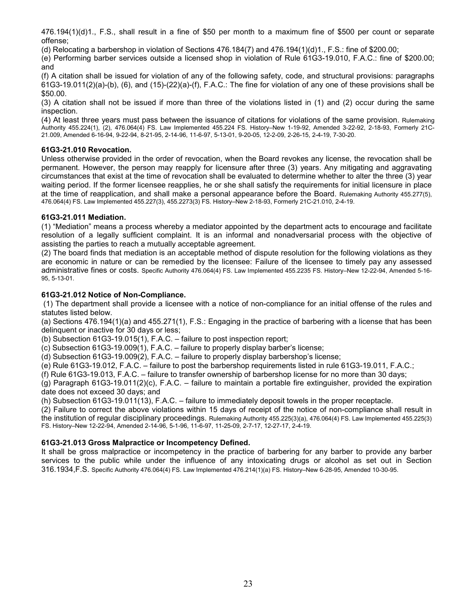476.194(1)(d)1., F.S., shall result in a fine of \$50 per month to a maximum fine of \$500 per count or separate offense;

(d) Relocating a barbershop in violation of Sections 476.184(7) and 476.194(1)(d)1., F.S.: fine of \$200.00;

(e) Performing barber services outside a licensed shop in violation of Rule 61G3-19.010, F.A.C.: fine of \$200.00; and

(f) A citation shall be issued for violation of any of the following safety, code, and structural provisions: paragraphs 61G3-19.011(2)(a)-(b), (6), and (15)-(22)(a)-(f), F.A.C.: The fine for violation of any one of these provisions shall be \$50.00.

(3) A citation shall not be issued if more than three of the violations listed in (1) and (2) occur during the same inspection.

(4) At least three years must pass between the issuance of citations for violations of the same provision. Rulemaking Authority 455.224(1), (2), 476.064(4) FS. Law Implemented 455.224 FS. History–New 1-19-92, Amended 3-22-92, 2-18-93, Formerly 21C-21.009, Amended 6-16-94, 9-22-94, 8-21-95, 2-14-96, 11-6-97, 5-13-01, 9-20-05, 12-2-09, 2-26-15, 2-4-19, 7-30-20.

## **61G3-21.010 Revocation.**

Unless otherwise provided in the order of revocation, when the Board revokes any license, the revocation shall be permanent. However, the person may reapply for licensure after three (3) years. Any mitigating and aggravating circumstances that exist at the time of revocation shall be evaluated to determine whether to alter the three (3) year waiting period. If the former licensee reapplies, he or she shall satisfy the requirements for initial licensure in place at the time of reapplication, and shall make a personal appearance before the Board. Rulemaking Authority 455.277(5), 476.064(4) FS. Law Implemented 455.227(3), 455.2273(3) FS. History–New 2-18-93, Formerly 21C-21.010, 2-4-19.

## **61G3-21.011 Mediation.**

(1) "Mediation" means a process whereby a mediator appointed by the department acts to encourage and facilitate resolution of a legally sufficient complaint. It is an informal and nonadversarial process with the objective of assisting the parties to reach a mutually acceptable agreement.

(2) The board finds that mediation is an acceptable method of dispute resolution for the following violations as they are economic in nature or can be remedied by the licensee: Failure of the licensee to timely pay any assessed administrative fines or costs. Specific Authority 476.064(4) FS. Law Implemented 455.2235 FS. History–New 12-22-94, Amended 5-16- 95, 5-13-01.

# **61G3-21.012 Notice of Non-Compliance.**

(1) The department shall provide a licensee with a notice of non-compliance for an initial offense of the rules and statutes listed below.

(a) Sections 476.194(1)(a) and 455.271(1), F.S.: Engaging in the practice of barbering with a license that has been delinquent or inactive for 30 days or less;

(b) Subsection 61G3-19.015(1), F.A.C. – failure to post inspection report;

(c) Subsection 61G3-19.009(1), F.A.C. – failure to properly display barber's license;

(d) Subsection 61G3-19.009(2), F.A.C. – failure to properly display barbershop's license;

(e) Rule 61G3-19.012, F.A.C. – failure to post the barbershop requirements listed in rule 61G3-19.011, F.A.C.;

(f) Rule 61G3-19.013, F.A.C. – failure to transfer ownership of barbershop license for no more than 30 days;

(g) Paragraph 61G3-19.011(2)(c), F.A.C. – failure to maintain a portable fire extinguisher, provided the expiration date does not exceed 30 days; and

(h) Subsection 61G3-19.011(13), F.A.C. – failure to immediately deposit towels in the proper receptacle.

(2) Failure to correct the above violations within 15 days of receipt of the notice of non-compliance shall result in the institution of regular disciplinary proceedings. Rulemaking Authority 455.225(3)(a), 476.064(4) FS. Law Implemented 455.225(3) FS. History–New 12-22-94, Amended 2-14-96, 5-1-96, 11-6-97, 11-25-09, 2-7-17, 12-27-17, 2-4-19.

#### **61G3-21.013 Gross Malpractice or Incompetency Defined.**

It shall be gross malpractice or incompetency in the practice of barbering for any barber to provide any barber services to the public while under the influence of any intoxicating drugs or alcohol as set out in Section 316.1934,F.S. Specific Authority 476.064(4) FS. Law Implemented 476.214(1)(a) FS. History–New 6-28-95, Amended 10-30-95.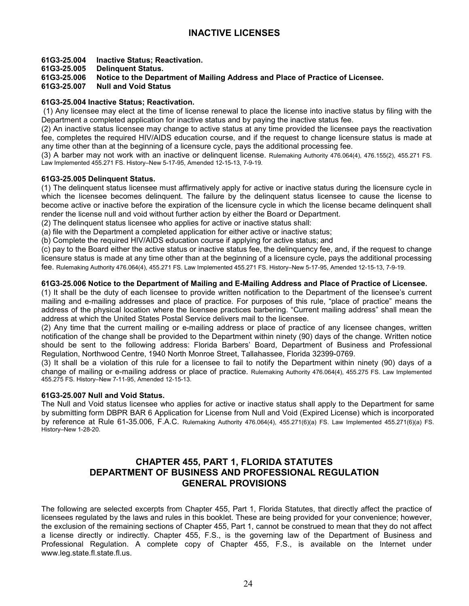# **61G3-25.004 Inactive Status; Reactivation.**

# **61G3-25.005 Delinquent Status.**

# **61G3-25.006 Notice to the Department of Mailing Address and Place of Practice of Licensee.**

### **Null and Void Status**

# **61G3-25.004 Inactive Status; Reactivation.**

(1) Any licensee may elect at the time of license renewal to place the license into inactive status by filing with the Department a completed application for inactive status and by paying the inactive status fee.

(2) An inactive status licensee may change to active status at any time provided the licensee pays the reactivation fee, completes the required HIV/AIDS education course, and if the request to change licensure status is made at any time other than at the beginning of a licensure cycle, pays the additional processing fee.

(3) A barber may not work with an inactive or delinquent license. Rulemaking Authority 476.064(4), 476.155(2), 455.271 FS. Law Implemented 455.271 FS. History–New 5-17-95, Amended 12-15-13, 7-9-19.

#### **61G3-25.005 Delinquent Status.**

(1) The delinquent status licensee must affirmatively apply for active or inactive status during the licensure cycle in which the licensee becomes delinquent. The failure by the delinquent status licensee to cause the license to become active or inactive before the expiration of the licensure cycle in which the license became delinquent shall render the license null and void without further action by either the Board or Department.

(2) The delinquent status licensee who applies for active or inactive status shall:

(a) file with the Department a completed application for either active or inactive status;

(b) Complete the required HIV/AIDS education course if applying for active status; and

(c) pay to the Board either the active status or inactive status fee, the delinquency fee, and, if the request to change licensure status is made at any time other than at the beginning of a licensure cycle, pays the additional processing fee. Rulemaking Authority 476.064(4), 455.271 FS. Law Implemented 455.271 FS. History–New 5-17-95, Amended 12-15-13, 7-9-19.

## **61G3-25.006 Notice to the Department of Mailing and E-Mailing Address and Place of Practice of Licensee.**

(1) It shall be the duty of each licensee to provide written notification to the Department of the licensee's current mailing and e-mailing addresses and place of practice. For purposes of this rule, "place of practice" means the address of the physical location where the licensee practices barbering. "Current mailing address" shall mean the address at which the United States Postal Service delivers mail to the licensee.

(2) Any time that the current mailing or e-mailing address or place of practice of any licensee changes, written notification of the change shall be provided to the Department within ninety (90) days of the change. Written notice should be sent to the following address: Florida Barbers' Board, Department of Business and Professional Regulation, Northwood Centre, 1940 North Monroe Street, Tallahassee, Florida 32399-0769.

(3) It shall be a violation of this rule for a licensee to fail to notify the Department within ninety (90) days of a change of mailing or e-mailing address or place of practice. Rulemaking Authority 476.064(4), 455.275 FS. Law Implemented 455.275 FS. History–New 7-11-95, Amended 12-15-13.

#### **61G3-25.007 Null and Void Status.**

The Null and Void status licensee who applies for active or inactive status shall apply to the Department for same by submitting form DBPR BAR 6 Application for License from Null and Void (Expired License) which is incorporated by reference at Rule 61-35.006, F.A.C. Rulemaking Authority 476.064(4), 455.271(6)(a) FS. Law Implemented 455.271(6)(a) FS. History–New 1-28-20.

# **CHAPTER 455, PART 1, FLORIDA STATUTES DEPARTMENT OF BUSINESS AND PROFESSIONAL REGULATION GENERAL PROVISIONS**

The following are selected excerpts from Chapter 455, Part 1, Florida Statutes, that directly affect the practice of licensees regulated by the laws and rules in this booklet. These are being provided for your convenience; however, the exclusion of the remaining sections of Chapter 455, Part 1, cannot be construed to mean that they do not affect a license directly or indirectly. Chapter 455, F.S., is the governing law of the Department of Business and Professional Regulation. A complete copy of Chapter 455, F.S., is available on the Internet under www.leg.state.fl.state.fl.us.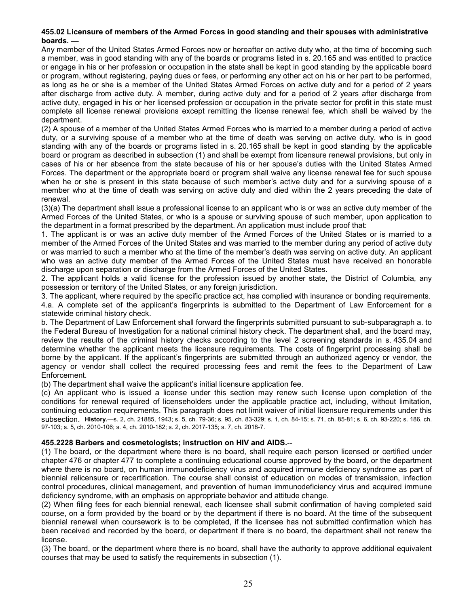### **455.02 Licensure of members of the Armed Forces in good standing and their spouses with administrative boards. —**

Any member of the United States Armed Forces now or hereafter on active duty who, at the time of becoming such a member, was in good standing with any of the boards or programs listed in s. [20.165](http://www.leg.state.fl.us/Statutes/index.cfm?App_mode=Display_Statute&Search_String=&URL=0000-0099/0020/Sections/0020.165.html) and was entitled to practice or engage in his or her profession or occupation in the state shall be kept in good standing by the applicable board or program, without registering, paying dues or fees, or performing any other act on his or her part to be performed, as long as he or she is a member of the United States Armed Forces on active duty and for a period of 2 years after discharge from active duty. A member, during active duty and for a period of 2 years after discharge from active duty, engaged in his or her licensed profession or occupation in the private sector for profit in this state must complete all license renewal provisions except remitting the license renewal fee, which shall be waived by the department.

(2) A spouse of a member of the United States Armed Forces who is married to a member during a period of active duty, or a surviving spouse of a member who at the time of death was serving on active duty, who is in good standing with any of the boards or programs listed in s. [20.165](http://www.leg.state.fl.us/Statutes/index.cfm?App_mode=Display_Statute&Search_String=&URL=0000-0099/0020/Sections/0020.165.html) shall be kept in good standing by the applicable board or program as described in subsection (1) and shall be exempt from licensure renewal provisions, but only in cases of his or her absence from the state because of his or her spouse's duties with the United States Armed Forces. The department or the appropriate board or program shall waive any license renewal fee for such spouse when he or she is present in this state because of such member's active duty and for a surviving spouse of a member who at the time of death was serving on active duty and died within the 2 years preceding the date of renewal.

(3)(a) The department shall issue a professional license to an applicant who is or was an active duty member of the Armed Forces of the United States, or who is a spouse or surviving spouse of such member, upon application to the department in a format prescribed by the department. An application must include proof that:

1. The applicant is or was an active duty member of the Armed Forces of the United States or is married to a member of the Armed Forces of the United States and was married to the member during any period of active duty or was married to such a member who at the time of the member's death was serving on active duty. An applicant who was an active duty member of the Armed Forces of the United States must have received an honorable discharge upon separation or discharge from the Armed Forces of the United States.

2. The applicant holds a valid license for the profession issued by another state, the District of Columbia, any possession or territory of the United States, or any foreign jurisdiction.

3. The applicant, where required by the specific practice act, has complied with insurance or bonding requirements. 4.a. A complete set of the applicant's fingerprints is submitted to the Department of Law Enforcement for a statewide criminal history check.

b. The Department of Law Enforcement shall forward the fingerprints submitted pursuant to sub-subparagraph a. to the Federal Bureau of Investigation for a national criminal history check. The department shall, and the board may, review the results of the criminal history checks according to the level 2 screening standards in s. [435.04](http://www.leg.state.fl.us/Statutes/index.cfm?App_mode=Display_Statute&Search_String=&URL=0400-0499/0435/Sections/0435.04.html) and determine whether the applicant meets the licensure requirements. The costs of fingerprint processing shall be borne by the applicant. If the applicant's fingerprints are submitted through an authorized agency or vendor, the agency or vendor shall collect the required processing fees and remit the fees to the Department of Law Enforcement.

(b) The department shall waive the applicant's initial licensure application fee.

(c) An applicant who is issued a license under this section may renew such license upon completion of the conditions for renewal required of licenseholders under the applicable practice act, including, without limitation, continuing education requirements. This paragraph does not limit waiver of initial licensure requirements under this subsection. **History.**—s. 2, ch. 21885, 1943; s. 5, ch. 79-36; s. 95, ch. 83-329; s. 1, ch. 84-15; s. 71, ch. 85-81; s. 6, ch. 93-220; s. 186, ch. 97-103; s. 5, ch. 2010-106; s. 4, ch. 2010-182; s. 2, ch. 2017-135; s. 7, ch. 2018-7.

#### **455.2228 Barbers and cosmetologists; instruction on HIV and AIDS.**--

(1) The board, or the department where there is no board, shall require each person licensed or certified under chapter 476 or chapter 477 to complete a continuing educational course approved by the board, or the department where there is no board, on human immunodeficiency virus and acquired immune deficiency syndrome as part of biennial relicensure or recertification. The course shall consist of education on modes of transmission, infection control procedures, clinical management, and prevention of human immunodeficiency virus and acquired immune deficiency syndrome, with an emphasis on appropriate behavior and attitude change.

(2) When filing fees for each biennial renewal, each licensee shall submit confirmation of having completed said course, on a form provided by the board or by the department if there is no board. At the time of the subsequent biennial renewal when coursework is to be completed, if the licensee has not submitted confirmation which has been received and recorded by the board, or department if there is no board, the department shall not renew the license.

(3) The board, or the department where there is no board, shall have the authority to approve additional equivalent courses that may be used to satisfy the requirements in subsection (1).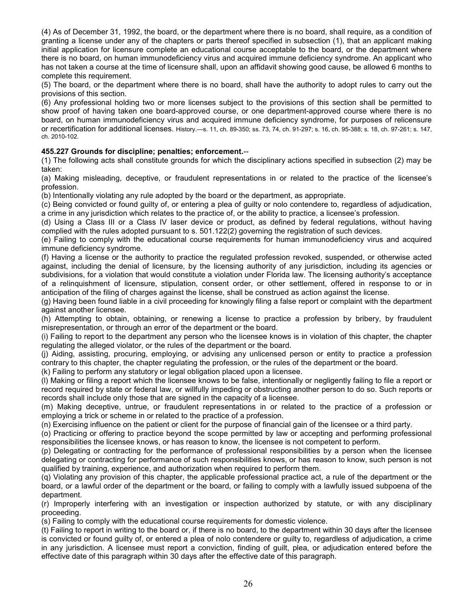(4) As of December 31, 1992, the board, or the department where there is no board, shall require, as a condition of granting a license under any of the chapters or parts thereof specified in subsection (1), that an applicant making initial application for licensure complete an educational course acceptable to the board, or the department where there is no board, on human immunodeficiency virus and acquired immune deficiency syndrome. An applicant who has not taken a course at the time of licensure shall, upon an affidavit showing good cause, be allowed 6 months to complete this requirement.

(5) The board, or the department where there is no board, shall have the authority to adopt rules to carry out the provisions of this section.

(6) Any professional holding two or more licenses subject to the provisions of this section shall be permitted to show proof of having taken one board-approved course, or one department-approved course where there is no board, on human immunodeficiency virus and acquired immune deficiency syndrome, for purposes of relicensure or recertification for additional licenses. History.—s. 11, ch. 89-350; ss. 73, 74, ch. 91-297; s. 16, ch. 95-388; s. 18, ch. 97-261; s. 147, ch. 2010-102.

# **455.227 Grounds for discipline; penalties; enforcement.**--

(1) The following acts shall constitute grounds for which the disciplinary actions specified in subsection (2) may be taken:

(a) Making misleading, deceptive, or fraudulent representations in or related to the practice of the licensee's profession.

(b) Intentionally violating any rule adopted by the board or the department, as appropriate.

(c) Being convicted or found guilty of, or entering a plea of guilty or nolo contendere to, regardless of adjudication, a crime in any jurisdiction which relates to the practice of, or the ability to practice, a licensee's profession.

(d) Using a Class III or a Class IV laser device or product, as defined by federal regulations, without having complied with the rules adopted pursuant to s. [501.122\(](http://www.leg.state.fl.us/Statutes/index.cfm?App_mode=Display_Statute&Search_String=&URL=0500-0599/0501/Sections/0501.122.html)2) governing the registration of such devices.

(e) Failing to comply with the educational course requirements for human immunodeficiency virus and acquired immune deficiency syndrome.

(f) Having a license or the authority to practice the regulated profession revoked, suspended, or otherwise acted against, including the denial of licensure, by the licensing authority of any jurisdiction, including its agencies or subdivisions, for a violation that would constitute a violation under Florida law. The licensing authority's acceptance of a relinquishment of licensure, stipulation, consent order, or other settlement, offered in response to or in anticipation of the filing of charges against the license, shall be construed as action against the license.

(g) Having been found liable in a civil proceeding for knowingly filing a false report or complaint with the department against another licensee.

(h) Attempting to obtain, obtaining, or renewing a license to practice a profession by bribery, by fraudulent misrepresentation, or through an error of the department or the board.

(i) Failing to report to the department any person who the licensee knows is in violation of this chapter, the chapter regulating the alleged violator, or the rules of the department or the board.

(j) Aiding, assisting, procuring, employing, or advising any unlicensed person or entity to practice a profession contrary to this chapter, the chapter regulating the profession, or the rules of the department or the board.

(k) Failing to perform any statutory or legal obligation placed upon a licensee.

(l) Making or filing a report which the licensee knows to be false, intentionally or negligently failing to file a report or record required by state or federal law, or willfully impeding or obstructing another person to do so. Such reports or records shall include only those that are signed in the capacity of a licensee.

(m) Making deceptive, untrue, or fraudulent representations in or related to the practice of a profession or employing a trick or scheme in or related to the practice of a profession.

(n) Exercising influence on the patient or client for the purpose of financial gain of the licensee or a third party.

(o) Practicing or offering to practice beyond the scope permitted by law or accepting and performing professional responsibilities the licensee knows, or has reason to know, the licensee is not competent to perform.

(p) Delegating or contracting for the performance of professional responsibilities by a person when the licensee delegating or contracting for performance of such responsibilities knows, or has reason to know, such person is not qualified by training, experience, and authorization when required to perform them.

(q) Violating any provision of this chapter, the applicable professional practice act, a rule of the department or the board, or a lawful order of the department or the board, or failing to comply with a lawfully issued subpoena of the department.

(r) Improperly interfering with an investigation or inspection authorized by statute, or with any disciplinary proceeding.

(s) Failing to comply with the educational course requirements for domestic violence.

(t) Failing to report in writing to the board or, if there is no board, to the department within 30 days after the licensee is convicted or found guilty of, or entered a plea of nolo contendere or guilty to, regardless of adjudication, a crime in any jurisdiction. A licensee must report a conviction, finding of guilt, plea, or adjudication entered before the effective date of this paragraph within 30 days after the effective date of this paragraph.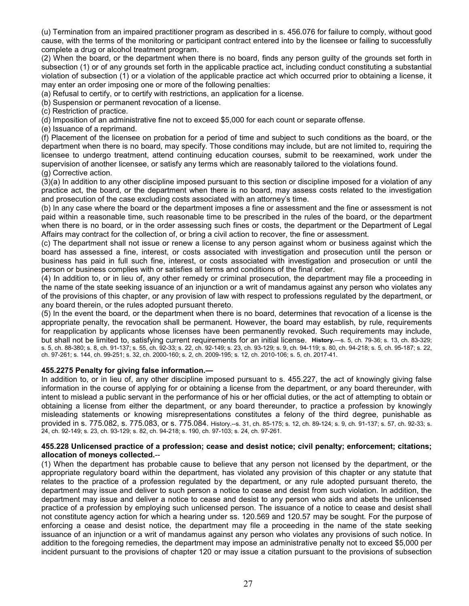(u) Termination from an impaired practitioner program as described in s. [456.076](http://www.leg.state.fl.us/Statutes/index.cfm?App_mode=Display_Statute&Search_String=&URL=0400-0499/0456/Sections/0456.076.html) for failure to comply, without good cause, with the terms of the monitoring or participant contract entered into by the licensee or failing to successfully complete a drug or alcohol treatment program.

(2) When the board, or the department when there is no board, finds any person guilty of the grounds set forth in subsection (1) or of any grounds set forth in the applicable practice act, including conduct constituting a substantial violation of subsection (1) or a violation of the applicable practice act which occurred prior to obtaining a license, it may enter an order imposing one or more of the following penalties:

(a) Refusal to certify, or to certify with restrictions, an application for a license.

(b) Suspension or permanent revocation of a license.

(c) Restriction of practice.

(d) Imposition of an administrative fine not to exceed \$5,000 for each count or separate offense.

(e) Issuance of a reprimand.

(f) Placement of the licensee on probation for a period of time and subject to such conditions as the board, or the department when there is no board, may specify. Those conditions may include, but are not limited to, requiring the licensee to undergo treatment, attend continuing education courses, submit to be reexamined, work under the supervision of another licensee, or satisfy any terms which are reasonably tailored to the violations found. (g) Corrective action.

(3)(a) In addition to any other discipline imposed pursuant to this section or discipline imposed for a violation of any practice act, the board, or the department when there is no board, may assess costs related to the investigation and prosecution of the case excluding costs associated with an attorney's time.

(b) In any case where the board or the department imposes a fine or assessment and the fine or assessment is not paid within a reasonable time, such reasonable time to be prescribed in the rules of the board, or the department when there is no board, or in the order assessing such fines or costs, the department or the Department of Legal Affairs may contract for the collection of, or bring a civil action to recover, the fine or assessment.

(c) The department shall not issue or renew a license to any person against whom or business against which the board has assessed a fine, interest, or costs associated with investigation and prosecution until the person or business has paid in full such fine, interest, or costs associated with investigation and prosecution or until the person or business complies with or satisfies all terms and conditions of the final order.

(4) In addition to, or in lieu of, any other remedy or criminal prosecution, the department may file a proceeding in the name of the state seeking issuance of an injunction or a writ of mandamus against any person who violates any of the provisions of this chapter, or any provision of law with respect to professions regulated by the department, or any board therein, or the rules adopted pursuant thereto.

(5) In the event the board, or the department when there is no board, determines that revocation of a license is the appropriate penalty, the revocation shall be permanent. However, the board may establish, by rule, requirements for reapplication by applicants whose licenses have been permanently revoked. Such requirements may include, but shall not be limited to, satisfying current requirements for an initial license. **History.**—s. 5, ch. 79-36; s. 13, ch. 83-329; s. 5, ch. 88-380; s. 8, ch. 91-137; s. 55, ch. 92-33; s. 22, ch. 92-149; s. 23, ch. 93-129; s. 9, ch. 94-119; s. 80, ch. 94-218; s. 5, ch. 95-187; s. 22, ch. 97-261; s. 144, ch. 99-251; s. 32, ch. 2000-160; s. 2, ch. 2009-195; s. 12, ch. 2010-106; s. 5, ch. 2017-41.

#### **455.2275 Penalty for giving false information.—**

In addition to, or in lieu of, any other discipline imposed pursuant to s. 455.227, the act of knowingly giving false information in the course of applying for or obtaining a license from the department, or any board thereunder, with intent to mislead a public servant in the performance of his or her official duties, or the act of attempting to obtain or obtaining a license from either the department, or any board thereunder, to practice a profession by knowingly misleading statements or knowing misrepresentations constitutes a felony of the third degree, punishable as provided in s. 775.082, s. 775.083, or s. 775.084. History.--s. 31, ch. 85-175; s. 12, ch. 89-124; s. 9, ch. 91-137; s. 57, ch. 92-33; s. 24, ch. 92-149; s. 23, ch. 93-129; s. 82, ch. 94-218; s. 190, ch. 97-103; s. 24, ch. 97-261.

#### **455.228 Unlicensed practice of a profession; cease and desist notice; civil penalty; enforcement; citations; allocation of moneys collected.**--

(1) When the department has probable cause to believe that any person not licensed by the department, or the appropriate regulatory board within the department, has violated any provision of this chapter or any statute that relates to the practice of a profession regulated by the department, or any rule adopted pursuant thereto, the department may issue and deliver to such person a notice to cease and desist from such violation. In addition, the department may issue and deliver a notice to cease and desist to any person who aids and abets the unlicensed practice of a profession by employing such unlicensed person. The issuance of a notice to cease and desist shall not constitute agency action for which a hearing under ss. [120.569](http://www.flsenate.gov/Statutes/index.cfm?App_mode=Display_Statute&Search_String=455.228&URL=0100-0199/0120/Sections/0120.569.html) and [120.57](http://www.flsenate.gov/Statutes/index.cfm?App_mode=Display_Statute&Search_String=455.228&URL=0100-0199/0120/Sections/0120.57.html) may be sought. For the purpose of enforcing a cease and desist notice, the department may file a proceeding in the name of the state seeking issuance of an injunction or a writ of mandamus against any person who violates any provisions of such notice. In addition to the foregoing remedies, the department may impose an administrative penalty not to exceed \$5,000 per incident pursuant to the provisions of chapter 120 or may issue a citation pursuant to the provisions of subsection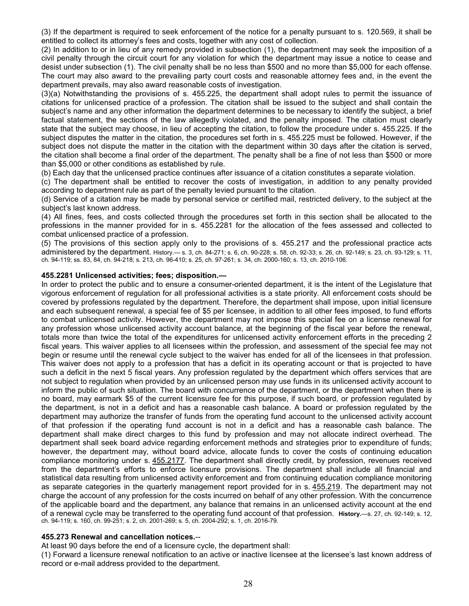(3) If the department is required to seek enforcement of the notice for a penalty pursuant to s. [120.569,](http://www.flsenate.gov/Statutes/index.cfm?App_mode=Display_Statute&Search_String=455.228&URL=0100-0199/0120/Sections/0120.569.html) it shall be entitled to collect its attorney's fees and costs, together with any cost of collection.

(2) In addition to or in lieu of any remedy provided in subsection (1), the department may seek the imposition of a civil penalty through the circuit court for any violation for which the department may issue a notice to cease and desist under subsection (1). The civil penalty shall be no less than \$500 and no more than \$5,000 for each offense. The court may also award to the prevailing party court costs and reasonable attorney fees and, in the event the department prevails, may also award reasonable costs of investigation.

(3)(a) Notwithstanding the provisions of s. [455.225,](http://www.flsenate.gov/Statutes/index.cfm?App_mode=Display_Statute&Search_String=455.228&URL=0400-0499/0455/Sections/0455.225.html) the department shall adopt rules to permit the issuance of citations for unlicensed practice of a profession. The citation shall be issued to the subject and shall contain the subject's name and any other information the department determines to be necessary to identify the subject, a brief factual statement, the sections of the law allegedly violated, and the penalty imposed. The citation must clearly state that the subject may choose, in lieu of accepting the citation, to follow the procedure under s. [455.225.](http://www.flsenate.gov/Statutes/index.cfm?App_mode=Display_Statute&Search_String=455.228&URL=0400-0499/0455/Sections/0455.225.html) If the subject disputes the matter in the citation, the procedures set forth in s. [455.225](http://www.flsenate.gov/Statutes/index.cfm?App_mode=Display_Statute&Search_String=455.228&URL=0400-0499/0455/Sections/0455.225.html) must be followed. However, if the subject does not dispute the matter in the citation with the department within 30 days after the citation is served, the citation shall become a final order of the department. The penalty shall be a fine of not less than \$500 or more than \$5,000 or other conditions as established by rule.

(b) Each day that the unlicensed practice continues after issuance of a citation constitutes a separate violation.

(c) The department shall be entitled to recover the costs of investigation, in addition to any penalty provided according to department rule as part of the penalty levied pursuant to the citation.

(d) Service of a citation may be made by personal service or certified mail, restricted delivery, to the subject at the subject's last known address.

(4) All fines, fees, and costs collected through the procedures set forth in this section shall be allocated to the professions in the manner provided for in s. [455.2281](http://www.flsenate.gov/Statutes/index.cfm?App_mode=Display_Statute&Search_String=455.228&URL=0400-0499/0455/Sections/0455.2281.html) for the allocation of the fees assessed and collected to combat unlicensed practice of a profession.

(5) The provisions of this section apply only to the provisions of s. [455.217](http://www.flsenate.gov/Statutes/index.cfm?App_mode=Display_Statute&Search_String=455.228&URL=0400-0499/0455/Sections/0455.217.html) and the professional practice acts administered by the department. History.— s. 3, ch. 84-271; s. 6, ch. 90-228; s. 58, ch. 92-33; s. 26, ch. 92-149; s. 23, ch. 93-129; s. 11, ch. 94-119; ss. 83, 84, ch. 94-218; s. 213, ch. 96-410; s. 25, ch. 97-261; s. 34, ch. 2000-160; s. 13, ch. 2010-106.

#### **455.2281 Unlicensed activities; fees; disposition.—**

In order to protect the public and to ensure a consumer-oriented department, it is the intent of the Legislature that vigorous enforcement of regulation for all professional activities is a state priority. All enforcement costs should be covered by professions regulated by the department. Therefore, the department shall impose, upon initial licensure and each subsequent renewal, a special fee of \$5 per licensee, in addition to all other fees imposed, to fund efforts to combat unlicensed activity. However, the department may not impose this special fee on a license renewal for any profession whose unlicensed activity account balance, at the beginning of the fiscal year before the renewal, totals more than twice the total of the expenditures for unlicensed activity enforcement efforts in the preceding 2 fiscal years. This waiver applies to all licensees within the profession, and assessment of the special fee may not begin or resume until the renewal cycle subject to the waiver has ended for all of the licensees in that profession. This waiver does not apply to a profession that has a deficit in its operating account or that is projected to have such a deficit in the next 5 fiscal years. Any profession regulated by the department which offers services that are not subject to regulation when provided by an unlicensed person may use funds in its unlicensed activity account to inform the public of such situation. The board with concurrence of the department, or the department when there is no board, may earmark \$5 of the current licensure fee for this purpose, if such board, or profession regulated by the department, is not in a deficit and has a reasonable cash balance. A board or profession regulated by the department may authorize the transfer of funds from the operating fund account to the unlicensed activity account of that profession if the operating fund account is not in a deficit and has a reasonable cash balance. The department shall make direct charges to this fund by profession and may not allocate indirect overhead. The department shall seek board advice regarding enforcement methods and strategies prior to expenditure of funds; however, the department may, without board advice, allocate funds to cover the costs of continuing education compliance monitoring under s. [455.2177.](http://www.leg.state.fl.us/Statutes/index.cfm?App_mode=Display_Statute&Search_String=&URL=0400-0499/0455/Sections/0455.2177.html) The department shall directly credit, by profession, revenues received from the department's efforts to enforce licensure provisions. The department shall include all financial and statistical data resulting from unlicensed activity enforcement and from continuing education compliance monitoring as separate categories in the quarterly management report provided for in s. [455.219.](http://www.leg.state.fl.us/Statutes/index.cfm?App_mode=Display_Statute&Search_String=&URL=0400-0499/0455/Sections/0455.219.html) The department may not charge the account of any profession for the costs incurred on behalf of any other profession. With the concurrence of the applicable board and the department, any balance that remains in an unlicensed activity account at the end of a renewal cycle may be transferred to the operating fund account of that profession. **History.**—s. 27, ch. 92-149; s. 12, ch. 94-119; s. 160, ch. 99-251; s. 2, ch. 2001-269; s. 5, ch. 2004-292; s. 1, ch. 2016-79.

#### **455.273 Renewal and cancellation notices.**--

At least 90 days before the end of a licensure cycle, the department shall:

(1) Forward a licensure renewal notification to an active or inactive licensee at the licensee's last known address of record or e-mail address provided to the department.